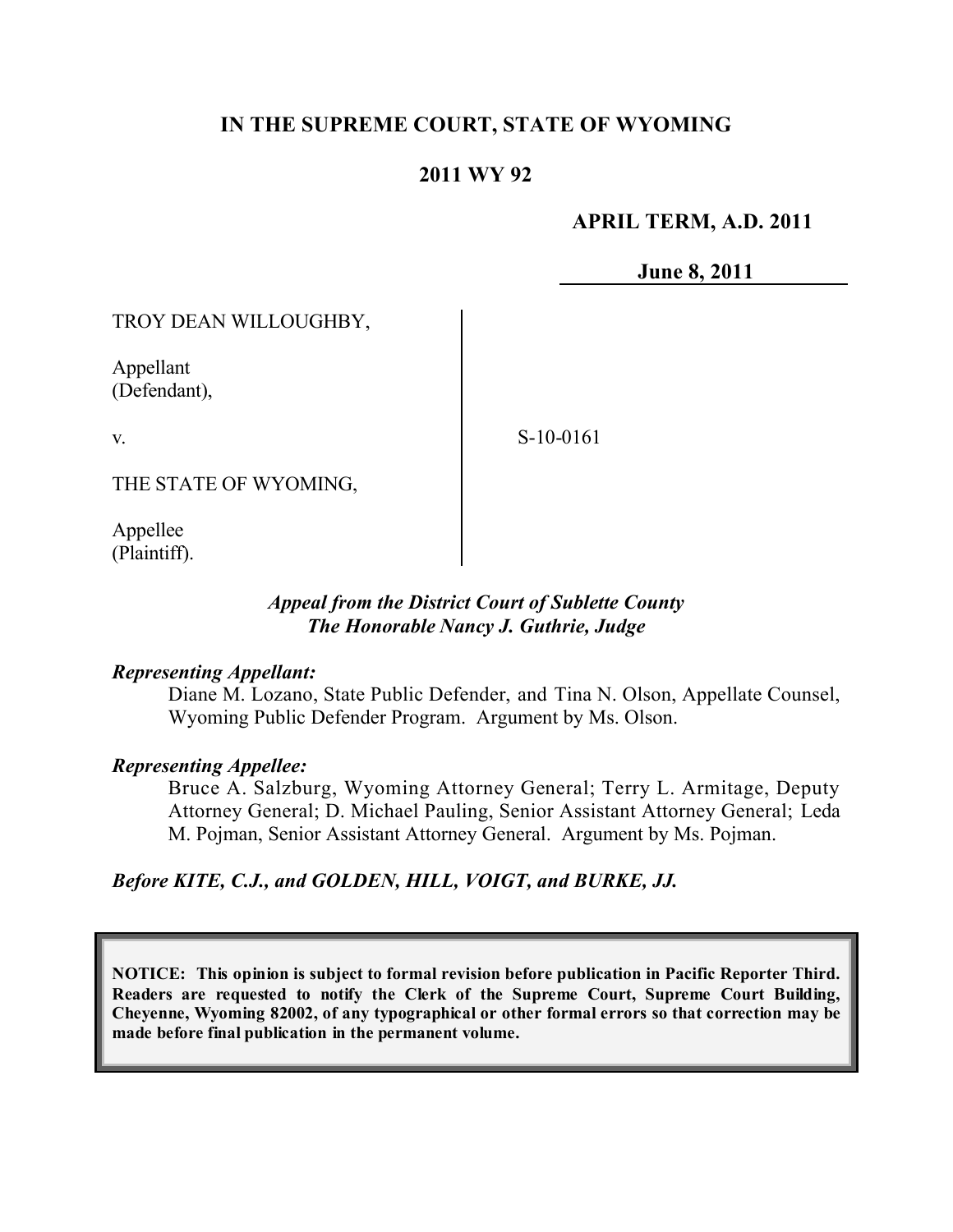### **IN THE SUPREME COURT, STATE OF WYOMING**

### **2011 WY 92**

### **APRIL TERM, A.D. 2011**

**June 8, 2011**

TROY DEAN WILLOUGHBY,

Appellant (Defendant),

v.

S-10-0161

THE STATE OF WYOMING,

Appellee (Plaintiff).

### *Appeal from the District Court of Sublette County The Honorable Nancy J. Guthrie, Judge*

#### *Representing Appellant:*

Diane M. Lozano, State Public Defender, and Tina N. Olson, Appellate Counsel, Wyoming Public Defender Program. Argument by Ms. Olson.

#### *Representing Appellee:*

Bruce A. Salzburg, Wyoming Attorney General; Terry L. Armitage, Deputy Attorney General; D. Michael Pauling, Senior Assistant Attorney General; Leda M. Pojman, Senior Assistant Attorney General. Argument by Ms. Pojman.

*Before KITE, C.J., and GOLDEN, HILL, VOIGT, and BURKE, JJ.*

**NOTICE: This opinion is subject to formal revision before publication in Pacific Reporter Third. Readers are requested to notify the Clerk of the Supreme Court, Supreme Court Building, Cheyenne, Wyoming 82002, of any typographical or other formal errors so that correction may be made before final publication in the permanent volume.**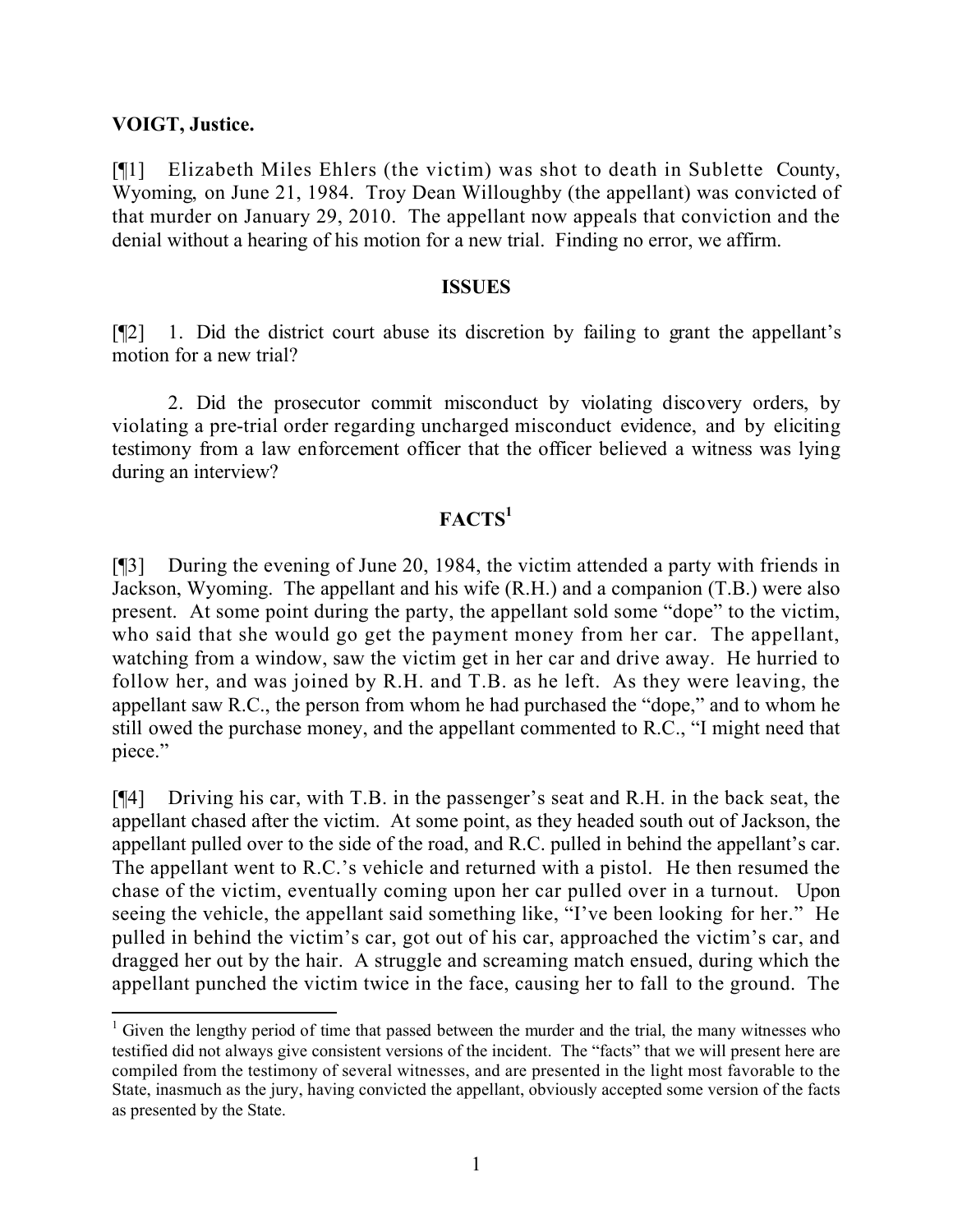#### **VOIGT, Justice.**

[¶1] Elizabeth Miles Ehlers (the victim) was shot to death in Sublette County, Wyoming, on June 21, 1984. Troy Dean Willoughby (the appellant) was convicted of that murder on January 29, 2010. The appellant now appeals that conviction and the denial without a hearing of his motion for a new trial. Finding no error, we affirm.

#### **ISSUES**

[¶2] 1. Did the district court abuse its discretion by failing to grant the appellant's motion for a new trial?

2. Did the prosecutor commit misconduct by violating discovery orders, by violating a pre-trial order regarding uncharged misconduct evidence, and by eliciting testimony from a law enforcement officer that the officer believed a witness was lying during an interview?

# **FACTS<sup>1</sup>**

[¶3] During the evening of June 20, 1984, the victim attended a party with friends in Jackson, Wyoming. The appellant and his wife (R.H.) and a companion (T.B.) were also present. At some point during the party, the appellant sold some "dope" to the victim, who said that she would go get the payment money from her car. The appellant, watching from a window, saw the victim get in her car and drive away. He hurried to follow her, and was joined by R.H. and T.B. as he left. As they were leaving, the appellant saw R.C., the person from whom he had purchased the "dope," and to whom he still owed the purchase money, and the appellant commented to R.C., "I might need that piece."

[¶4] Driving his car, with T.B. in the passenger's seat and R.H. in the back seat, the appellant chased after the victim. At some point, as they headed south out of Jackson, the appellant pulled over to the side of the road, and R.C. pulled in behind the appellant's car. The appellant went to R.C.'s vehicle and returned with a pistol. He then resumed the chase of the victim, eventually coming upon her car pulled over in a turnout. Upon seeing the vehicle, the appellant said something like, "I've been looking for her." He pulled in behind the victim's car, got out of his car, approached the victim's car, and dragged her out by the hair. A struggle and screaming match ensued, during which the appellant punched the victim twice in the face, causing her to fall to the ground. The

  $1$  Given the lengthy period of time that passed between the murder and the trial, the many witnesses who testified did not always give consistent versions of the incident. The "facts" that we will present here are compiled from the testimony of several witnesses, and are presented in the light most favorable to the State, inasmuch as the jury, having convicted the appellant, obviously accepted some version of the facts as presented by the State.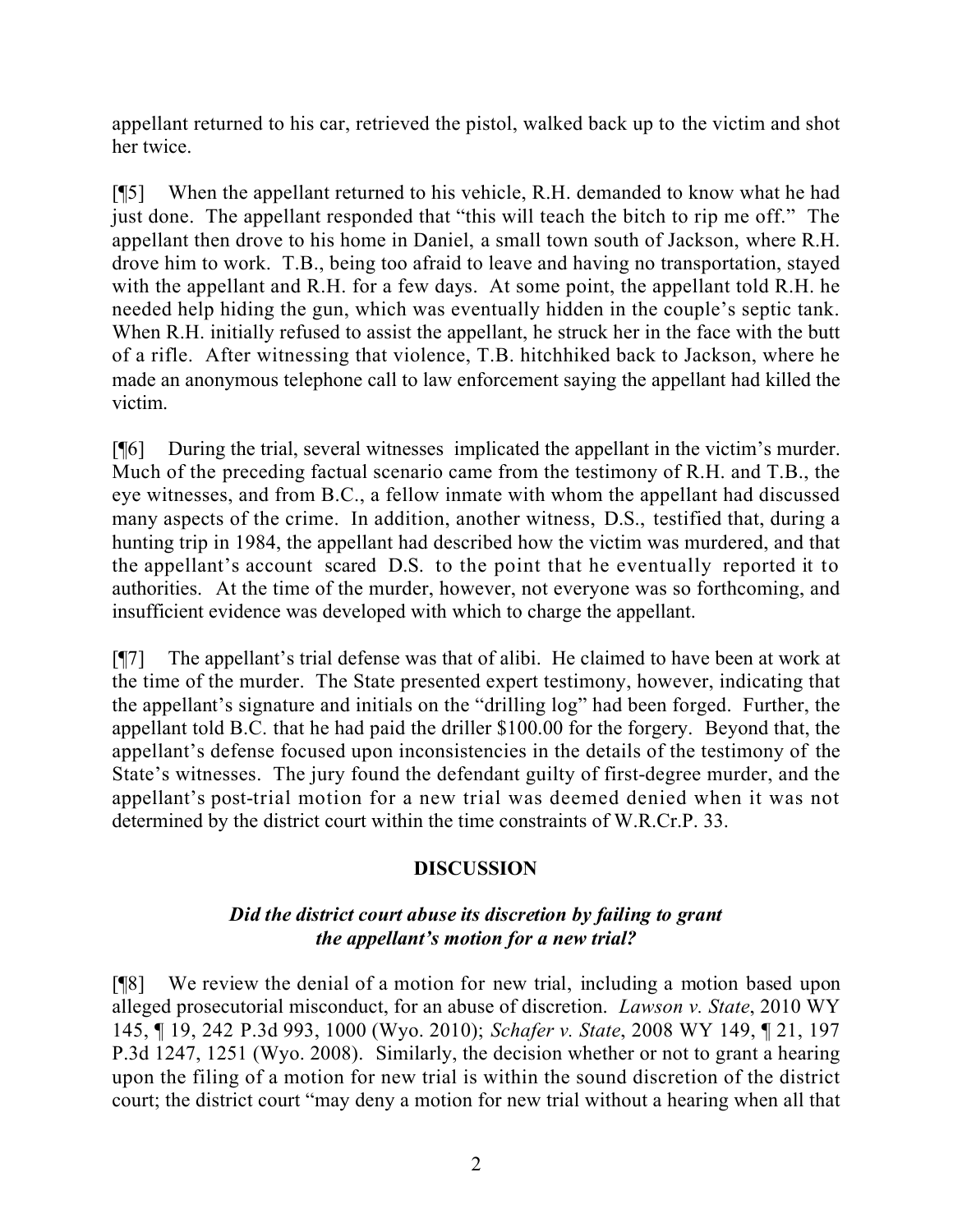appellant returned to his car, retrieved the pistol, walked back up to the victim and shot her twice.

[¶5] When the appellant returned to his vehicle, R.H. demanded to know what he had just done. The appellant responded that "this will teach the bitch to rip me off." The appellant then drove to his home in Daniel, a small town south of Jackson, where R.H. drove him to work. T.B., being too afraid to leave and having no transportation, stayed with the appellant and R.H. for a few days. At some point, the appellant told R.H. he needed help hiding the gun, which was eventually hidden in the couple's septic tank. When R.H. initially refused to assist the appellant, he struck her in the face with the butt of a rifle. After witnessing that violence, T.B. hitchhiked back to Jackson, where he made an anonymous telephone call to law enforcement saying the appellant had killed the victim.

[¶6] During the trial, several witnesses implicated the appellant in the victim's murder. Much of the preceding factual scenario came from the testimony of R.H. and T.B., the eye witnesses, and from B.C., a fellow inmate with whom the appellant had discussed many aspects of the crime. In addition, another witness, D.S., testified that, during a hunting trip in 1984, the appellant had described how the victim was murdered, and that the appellant's account scared D.S. to the point that he eventually reported it to authorities. At the time of the murder, however, not everyone was so forthcoming, and insufficient evidence was developed with which to charge the appellant.

[¶7] The appellant's trial defense was that of alibi. He claimed to have been at work at the time of the murder. The State presented expert testimony, however, indicating that the appellant's signature and initials on the "drilling log" had been forged. Further, the appellant told B.C. that he had paid the driller \$100.00 for the forgery. Beyond that, the appellant's defense focused upon inconsistencies in the details of the testimony of the State's witnesses. The jury found the defendant guilty of first-degree murder, and the appellant's post-trial motion for a new trial was deemed denied when it was not determined by the district court within the time constraints of W.R.Cr.P. 33.

## **DISCUSSION**

### *Did the district court abuse its discretion by failing to grant the appellant's motion for a new trial?*

[¶8] We review the denial of a motion for new trial, including a motion based upon alleged prosecutorial misconduct, for an abuse of discretion. *Lawson v. State*, 2010 WY 145, ¶ 19, 242 P.3d 993, 1000 (Wyo. 2010); *Schafer v. State*, 2008 WY 149, ¶ 21, 197 P.3d 1247, 1251 (Wyo. 2008). Similarly, the decision whether or not to grant a hearing upon the filing of a motion for new trial is within the sound discretion of the district court; the district court "may deny a motion for new trial without a hearing when all that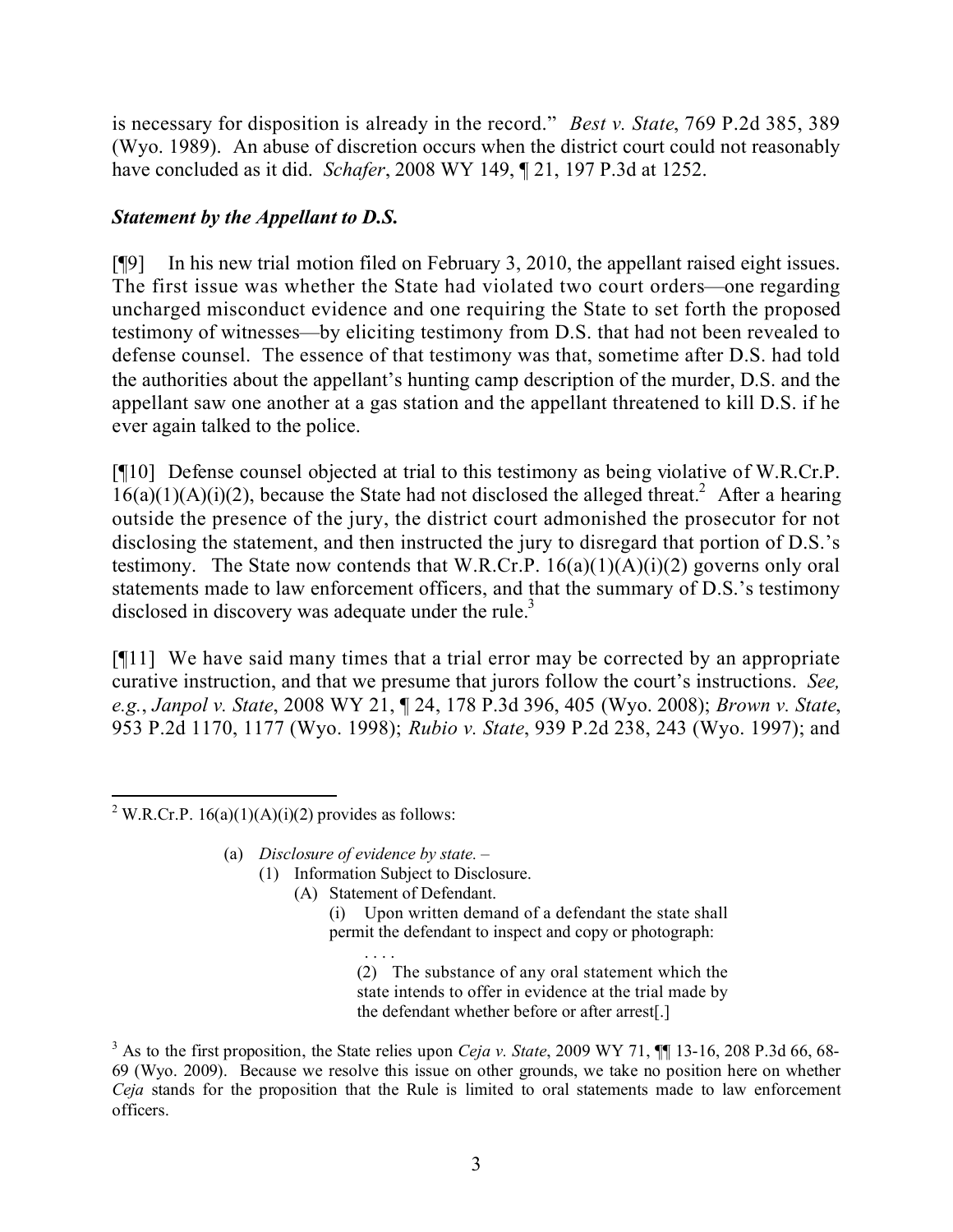is necessary for disposition is already in the record." *Best v. State*, 769 P.2d 385, 389 (Wyo. 1989). An abuse of discretion occurs when the district court could not reasonably have concluded as it did. *Schafer*, 2008 WY 149, ¶ 21, 197 P.3d at 1252.

## *Statement by the Appellant to D.S.*

[¶9] In his new trial motion filed on February 3, 2010, the appellant raised eight issues. The first issue was whether the State had violated two court orders—one regarding uncharged misconduct evidence and one requiring the State to set forth the proposed testimony of witnesses—by eliciting testimony from D.S. that had not been revealed to defense counsel. The essence of that testimony was that, sometime after D.S. had told the authorities about the appellant's hunting camp description of the murder, D.S. and the appellant saw one another at a gas station and the appellant threatened to kill D.S. if he ever again talked to the police.

[¶10] Defense counsel objected at trial to this testimony as being violative of W.R.Cr.P.  $16(a)(1)(A)(i)(2)$ , because the State had not disclosed the alleged threat.<sup>2</sup> After a hearing outside the presence of the jury, the district court admonished the prosecutor for not disclosing the statement, and then instructed the jury to disregard that portion of D.S.'s testimony. The State now contends that W.R.Cr.P.  $16(a)(1)(A)(i)(2)$  governs only oral statements made to law enforcement officers, and that the summary of D.S.'s testimony disclosed in discovery was adequate under the rule.<sup>3</sup>

[¶11] We have said many times that a trial error may be corrected by an appropriate curative instruction, and that we presume that jurors follow the court's instructions. *See, e.g.*, *Janpol v. State*, 2008 WY 21, ¶ 24, 178 P.3d 396, 405 (Wyo. 2008); *Brown v. State*, 953 P.2d 1170, 1177 (Wyo. 1998); *Rubio v. State*, 939 P.2d 238, 243 (Wyo. 1997); and

(a) *Disclosure of evidence by state.* –

(1) Information Subject to Disclosure.

(A) Statement of Defendant.

(i) Upon written demand of a defendant the state shall permit the defendant to inspect and copy or photograph:

. . . . (2) The substance of any oral statement which the state intends to offer in evidence at the trial made by the defendant whether before or after arrest[.]

 <sup>2</sup> W.R.Cr.P. 16(a)(1)(A)(i)(2) provides as follows:

<sup>&</sup>lt;sup>3</sup> As to the first proposition, the State relies upon *Ceja v. State*, 2009 WY 71,  $\P$  13-16, 208 P.3d 66, 68-69 (Wyo. 2009). Because we resolve this issue on other grounds, we take no position here on whether *Ceja* stands for the proposition that the Rule is limited to oral statements made to law enforcement officers.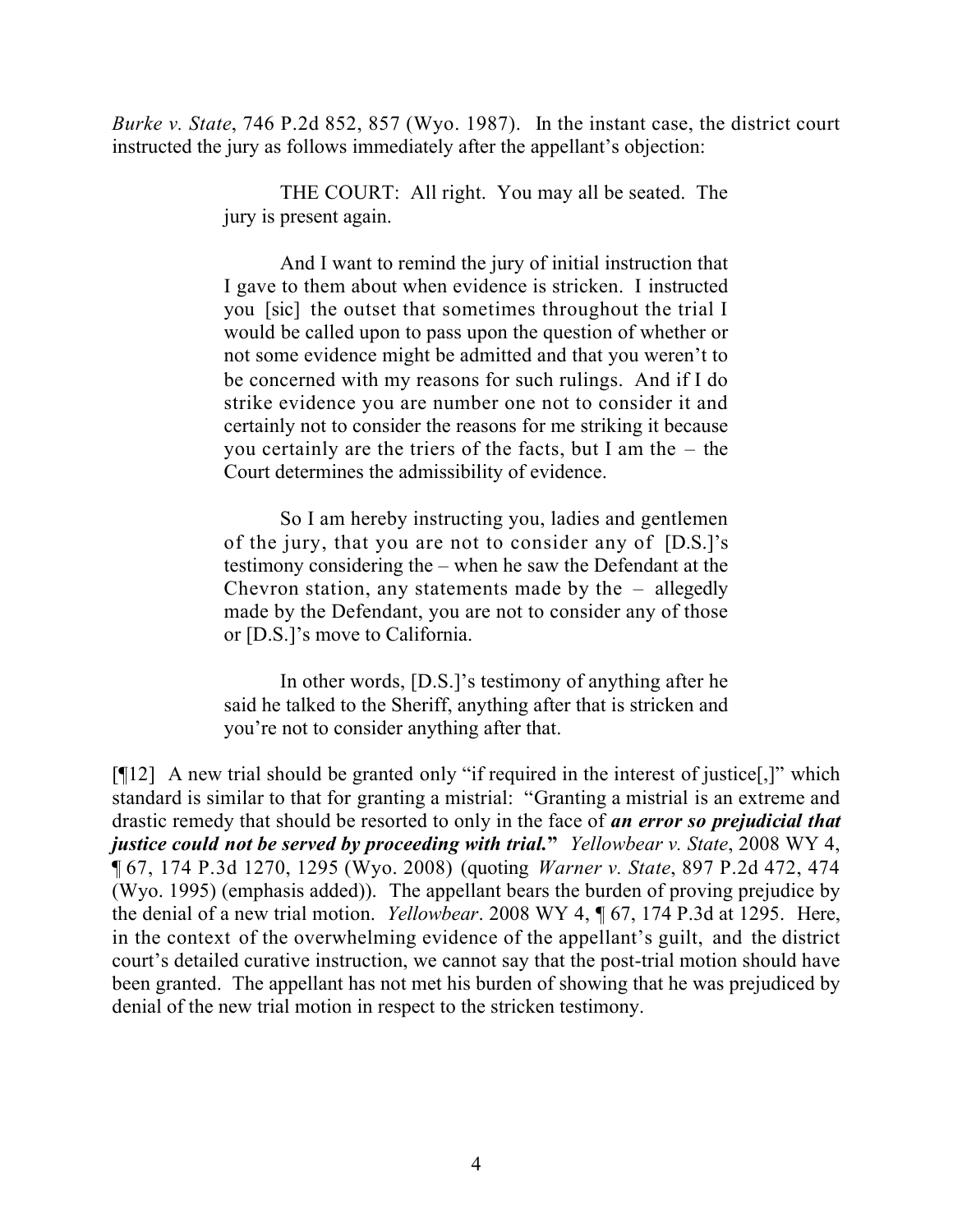*Burke v. State*, 746 P.2d 852, 857 (Wyo. 1987). In the instant case, the district court instructed the jury as follows immediately after the appellant's objection:

> THE COURT: All right. You may all be seated. The jury is present again.

> And I want to remind the jury of initial instruction that I gave to them about when evidence is stricken. I instructed you [sic] the outset that sometimes throughout the trial I would be called upon to pass upon the question of whether or not some evidence might be admitted and that you weren't to be concerned with my reasons for such rulings. And if I do strike evidence you are number one not to consider it and certainly not to consider the reasons for me striking it because you certainly are the triers of the facts, but I am the – the Court determines the admissibility of evidence.

> So I am hereby instructing you, ladies and gentlemen of the jury, that you are not to consider any of [D.S.]'s testimony considering the – when he saw the Defendant at the Chevron station, any statements made by the – allegedly made by the Defendant, you are not to consider any of those or [D.S.]'s move to California.

> In other words, [D.S.]'s testimony of anything after he said he talked to the Sheriff, anything after that is stricken and you're not to consider anything after that.

[¶12] A new trial should be granted only "if required in the interest of justice[,]" which standard is similar to that for granting a mistrial: "Granting a mistrial is an extreme and drastic remedy that should be resorted to only in the face of *an error so prejudicial that justice could not be served by proceeding with trial.***"** *Yellowbear v. State*, 2008 WY 4, ¶ 67, 174 P.3d 1270, 1295 (Wyo. 2008) (quoting *Warner v. State*, 897 P.2d 472, 474 (Wyo. 1995) (emphasis added)). The appellant bears the burden of proving prejudice by the denial of a new trial motion. *Yellowbear*. 2008 WY 4, ¶ 67, 174 P.3d at 1295. Here, in the context of the overwhelming evidence of the appellant's guilt, and the district court's detailed curative instruction, we cannot say that the post-trial motion should have been granted. The appellant has not met his burden of showing that he was prejudiced by denial of the new trial motion in respect to the stricken testimony.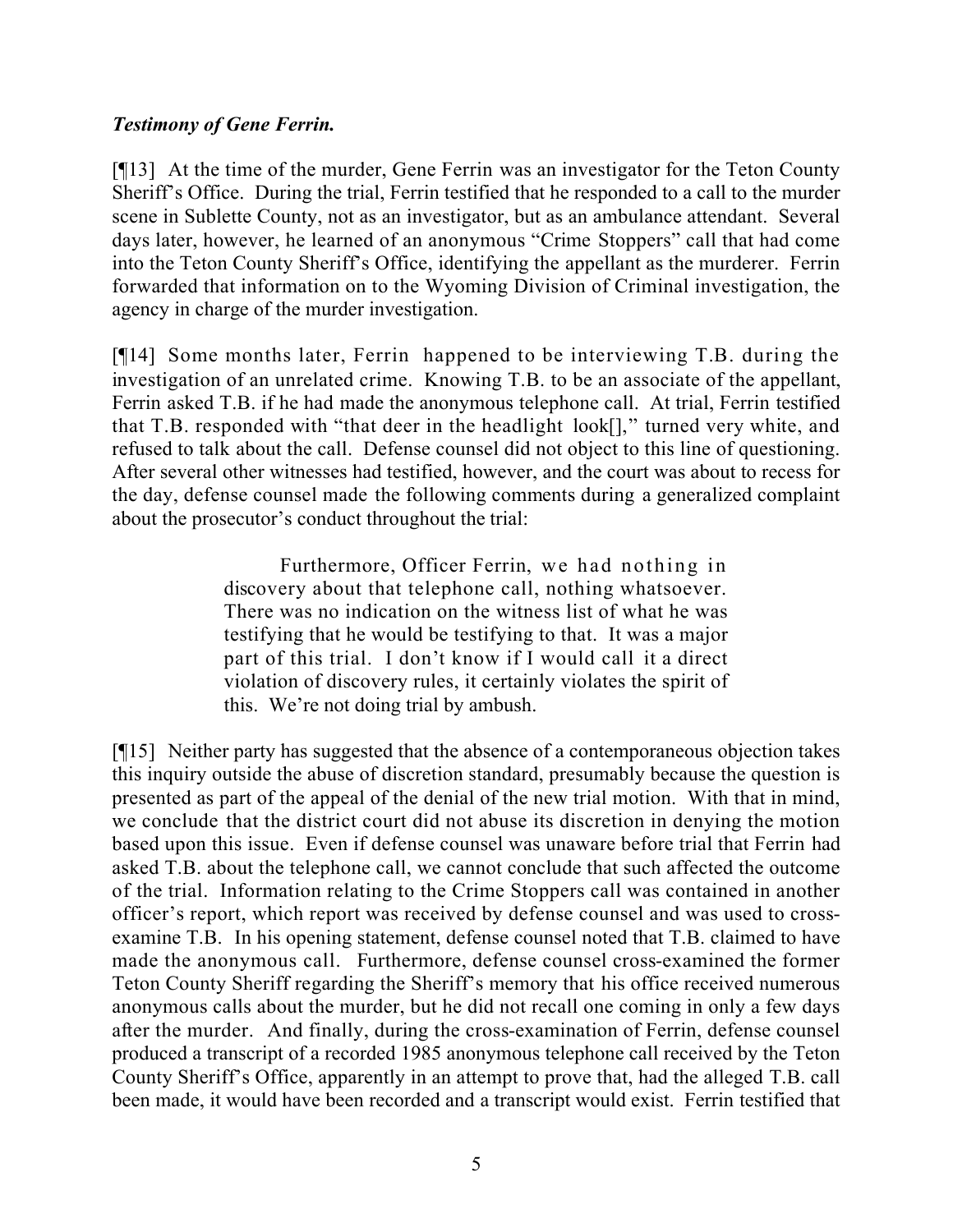### *Testimony of Gene Ferrin.*

[¶13] At the time of the murder, Gene Ferrin was an investigator for the Teton County Sheriff's Office. During the trial, Ferrin testified that he responded to a call to the murder scene in Sublette County, not as an investigator, but as an ambulance attendant. Several days later, however, he learned of an anonymous "Crime Stoppers" call that had come into the Teton County Sheriff's Office, identifying the appellant as the murderer. Ferrin forwarded that information on to the Wyoming Division of Criminal investigation, the agency in charge of the murder investigation.

[¶14] Some months later, Ferrin happened to be interviewing T.B. during the investigation of an unrelated crime. Knowing T.B. to be an associate of the appellant, Ferrin asked T.B. if he had made the anonymous telephone call. At trial, Ferrin testified that T.B. responded with "that deer in the headlight look[]," turned very white, and refused to talk about the call. Defense counsel did not object to this line of questioning. After several other witnesses had testified, however, and the court was about to recess for the day, defense counsel made the following comments during a generalized complaint about the prosecutor's conduct throughout the trial:

> Furthermore, Officer Ferrin, we had nothing in discovery about that telephone call, nothing whatsoever. There was no indication on the witness list of what he was testifying that he would be testifying to that. It was a major part of this trial. I don't know if I would call it a direct violation of discovery rules, it certainly violates the spirit of this. We're not doing trial by ambush.

[¶15] Neither party has suggested that the absence of a contemporaneous objection takes this inquiry outside the abuse of discretion standard, presumably because the question is presented as part of the appeal of the denial of the new trial motion. With that in mind, we conclude that the district court did not abuse its discretion in denying the motion based upon this issue. Even if defense counsel was unaware before trial that Ferrin had asked T.B. about the telephone call, we cannot conclude that such affected the outcome of the trial. Information relating to the Crime Stoppers call was contained in another officer's report, which report was received by defense counsel and was used to crossexamine T.B. In his opening statement, defense counsel noted that T.B. claimed to have made the anonymous call. Furthermore, defense counsel cross-examined the former Teton County Sheriff regarding the Sheriff's memory that his office received numerous anonymous calls about the murder, but he did not recall one coming in only a few days after the murder. And finally, during the cross-examination of Ferrin, defense counsel produced a transcript of a recorded 1985 anonymous telephone call received by the Teton County Sheriff's Office, apparently in an attempt to prove that, had the alleged T.B. call been made, it would have been recorded and a transcript would exist. Ferrin testified that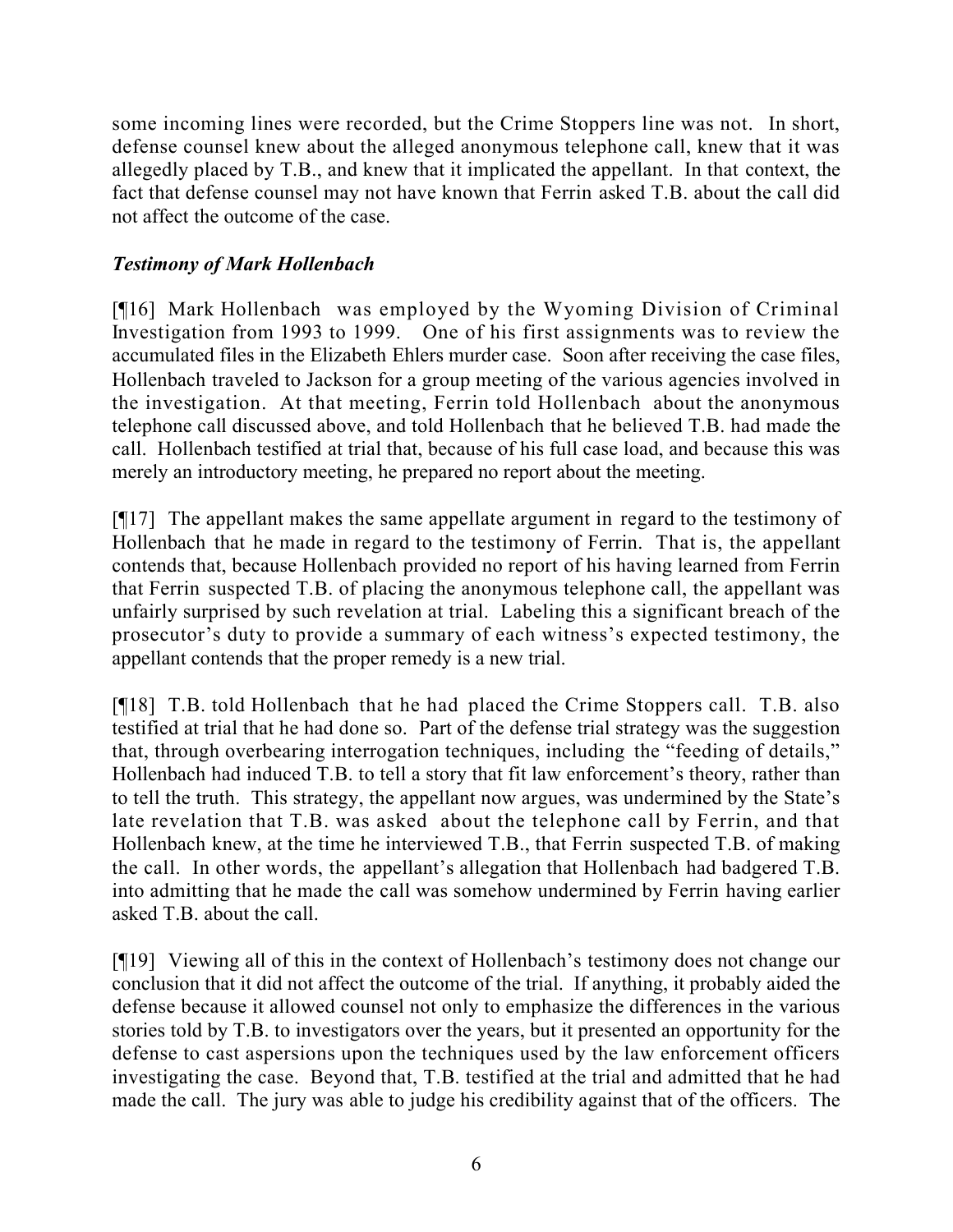some incoming lines were recorded, but the Crime Stoppers line was not. In short, defense counsel knew about the alleged anonymous telephone call, knew that it was allegedly placed by T.B., and knew that it implicated the appellant. In that context, the fact that defense counsel may not have known that Ferrin asked T.B. about the call did not affect the outcome of the case.

## *Testimony of Mark Hollenbach*

[¶16] Mark Hollenbach was employed by the Wyoming Division of Criminal Investigation from 1993 to 1999. One of his first assignments was to review the accumulated files in the Elizabeth Ehlers murder case. Soon after receiving the case files, Hollenbach traveled to Jackson for a group meeting of the various agencies involved in the investigation. At that meeting, Ferrin told Hollenbach about the anonymous telephone call discussed above, and told Hollenbach that he believed T.B. had made the call. Hollenbach testified at trial that, because of his full case load, and because this was merely an introductory meeting, he prepared no report about the meeting.

[¶17] The appellant makes the same appellate argument in regard to the testimony of Hollenbach that he made in regard to the testimony of Ferrin. That is, the appellant contends that, because Hollenbach provided no report of his having learned from Ferrin that Ferrin suspected T.B. of placing the anonymous telephone call, the appellant was unfairly surprised by such revelation at trial. Labeling this a significant breach of the prosecutor's duty to provide a summary of each witness's expected testimony, the appellant contends that the proper remedy is a new trial.

[¶18] T.B. told Hollenbach that he had placed the Crime Stoppers call. T.B. also testified at trial that he had done so. Part of the defense trial strategy was the suggestion that, through overbearing interrogation techniques, including the "feeding of details," Hollenbach had induced T.B. to tell a story that fit law enforcement's theory, rather than to tell the truth. This strategy, the appellant now argues, was undermined by the State's late revelation that T.B. was asked about the telephone call by Ferrin, and that Hollenbach knew, at the time he interviewed T.B., that Ferrin suspected T.B. of making the call. In other words, the appellant's allegation that Hollenbach had badgered T.B. into admitting that he made the call was somehow undermined by Ferrin having earlier asked T.B. about the call.

[¶19] Viewing all of this in the context of Hollenbach's testimony does not change our conclusion that it did not affect the outcome of the trial. If anything, it probably aided the defense because it allowed counsel not only to emphasize the differences in the various stories told by T.B. to investigators over the years, but it presented an opportunity for the defense to cast aspersions upon the techniques used by the law enforcement officers investigating the case. Beyond that, T.B. testified at the trial and admitted that he had made the call. The jury was able to judge his credibility against that of the officers. The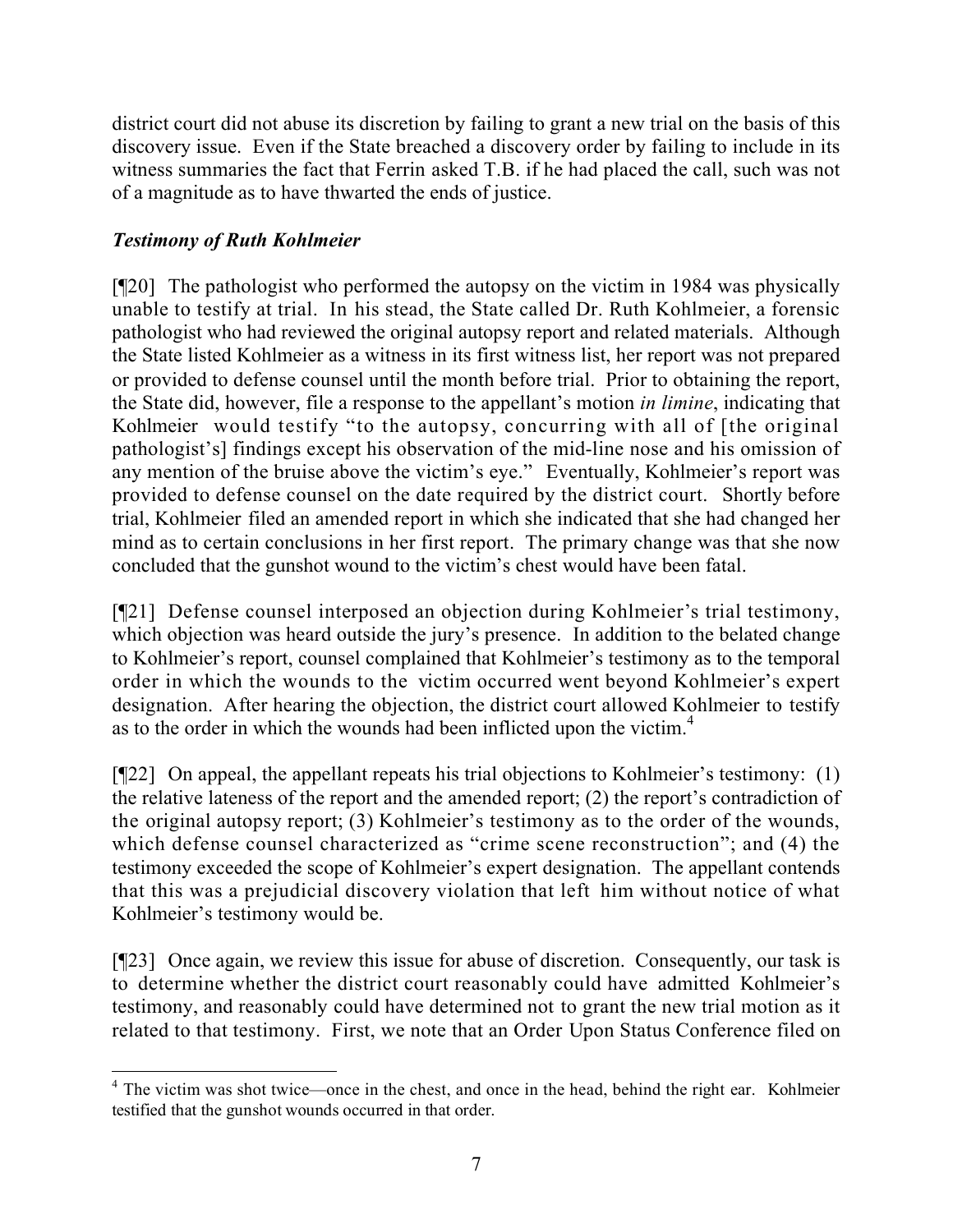district court did not abuse its discretion by failing to grant a new trial on the basis of this discovery issue. Even if the State breached a discovery order by failing to include in its witness summaries the fact that Ferrin asked T.B. if he had placed the call, such was not of a magnitude as to have thwarted the ends of justice.

## *Testimony of Ruth Kohlmeier*

[¶20] The pathologist who performed the autopsy on the victim in 1984 was physically unable to testify at trial. In his stead, the State called Dr. Ruth Kohlmeier, a forensic pathologist who had reviewed the original autopsy report and related materials. Although the State listed Kohlmeier as a witness in its first witness list, her report was not prepared or provided to defense counsel until the month before trial. Prior to obtaining the report, the State did, however, file a response to the appellant's motion *in limine*, indicating that Kohlmeier would testify "to the autopsy, concurring with all of [the original pathologist's] findings except his observation of the mid-line nose and his omission of any mention of the bruise above the victim's eye." Eventually, Kohlmeier's report was provided to defense counsel on the date required by the district court. Shortly before trial, Kohlmeier filed an amended report in which she indicated that she had changed her mind as to certain conclusions in her first report. The primary change was that she now concluded that the gunshot wound to the victim's chest would have been fatal.

[¶21] Defense counsel interposed an objection during Kohlmeier's trial testimony, which objection was heard outside the jury's presence. In addition to the belated change to Kohlmeier's report, counsel complained that Kohlmeier's testimony as to the temporal order in which the wounds to the victim occurred went beyond Kohlmeier's expert designation. After hearing the objection, the district court allowed Kohlmeier to testify as to the order in which the wounds had been inflicted upon the victim.<sup>4</sup>

[¶22] On appeal, the appellant repeats his trial objections to Kohlmeier's testimony: (1) the relative lateness of the report and the amended report; (2) the report's contradiction of the original autopsy report; (3) Kohlmeier's testimony as to the order of the wounds, which defense counsel characterized as "crime scene reconstruction"; and (4) the testimony exceeded the scope of Kohlmeier's expert designation. The appellant contends that this was a prejudicial discovery violation that left him without notice of what Kohlmeier's testimony would be.

[¶23] Once again, we review this issue for abuse of discretion. Consequently, our task is to determine whether the district court reasonably could have admitted Kohlmeier's testimony, and reasonably could have determined not to grant the new trial motion as it related to that testimony. First, we note that an Order Upon Status Conference filed on

  $4$  The victim was shot twice—once in the chest, and once in the head, behind the right ear. Kohlmeier testified that the gunshot wounds occurred in that order.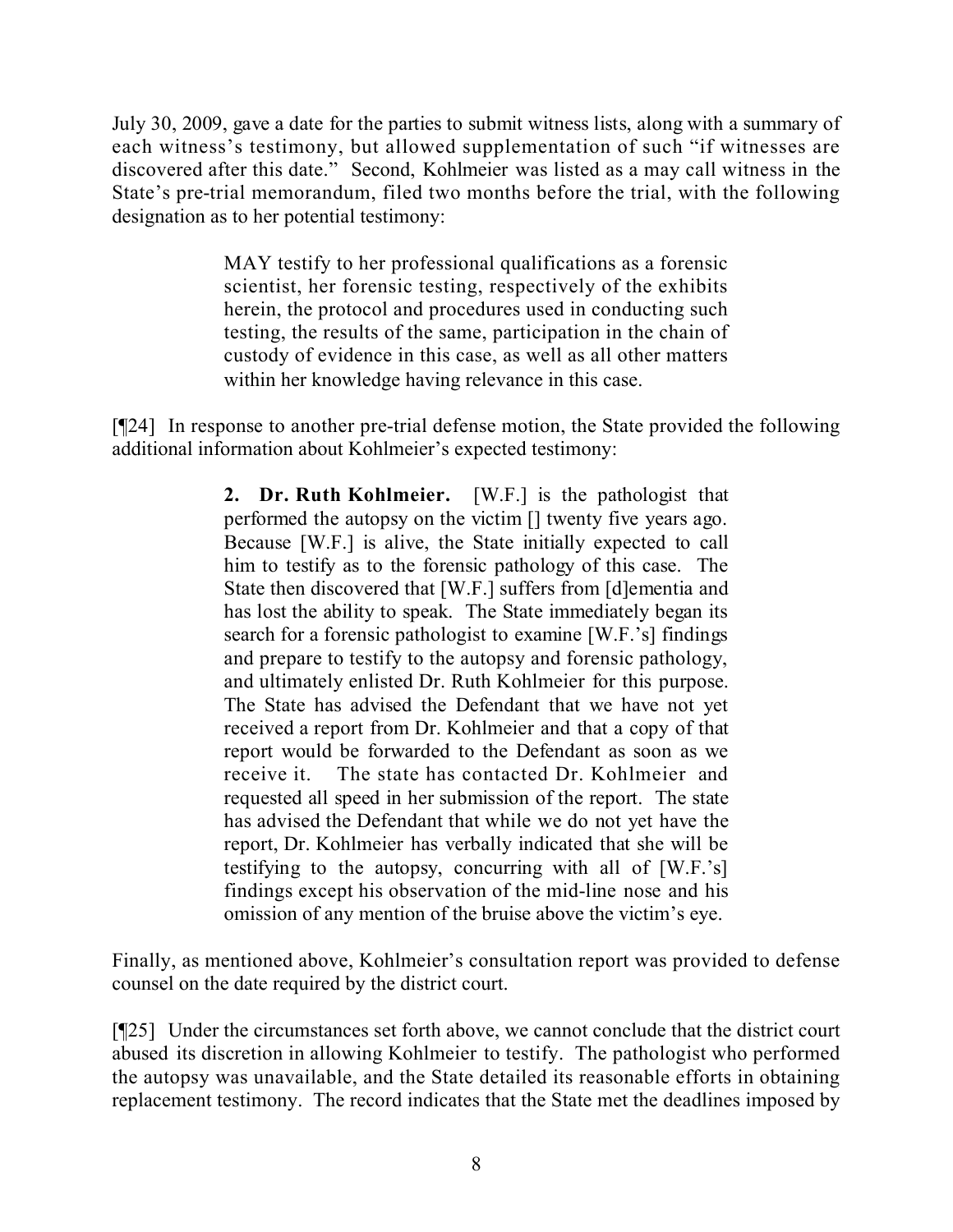July 30, 2009, gave a date for the parties to submit witness lists, along with a summary of each witness's testimony, but allowed supplementation of such "if witnesses are discovered after this date." Second, Kohlmeier was listed as a may call witness in the State's pre-trial memorandum, filed two months before the trial, with the following designation as to her potential testimony:

> MAY testify to her professional qualifications as a forensic scientist, her forensic testing, respectively of the exhibits herein, the protocol and procedures used in conducting such testing, the results of the same, participation in the chain of custody of evidence in this case, as well as all other matters within her knowledge having relevance in this case.

[¶24] In response to another pre-trial defense motion, the State provided the following additional information about Kohlmeier's expected testimony:

> **2. Dr. Ruth Kohlmeier.** [W.F.] is the pathologist that performed the autopsy on the victim [] twenty five years ago. Because [W.F.] is alive, the State initially expected to call him to testify as to the forensic pathology of this case. The State then discovered that [W.F.] suffers from [d]ementia and has lost the ability to speak. The State immediately began its search for a forensic pathologist to examine [W.F.'s] findings and prepare to testify to the autopsy and forensic pathology, and ultimately enlisted Dr. Ruth Kohlmeier for this purpose. The State has advised the Defendant that we have not yet received a report from Dr. Kohlmeier and that a copy of that report would be forwarded to the Defendant as soon as we receive it. The state has contacted Dr. Kohlmeier and requested all speed in her submission of the report. The state has advised the Defendant that while we do not yet have the report, Dr. Kohlmeier has verbally indicated that she will be testifying to the autopsy, concurring with all of [W.F.'s] findings except his observation of the mid-line nose and his omission of any mention of the bruise above the victim's eye.

Finally, as mentioned above, Kohlmeier's consultation report was provided to defense counsel on the date required by the district court.

[¶25] Under the circumstances set forth above, we cannot conclude that the district court abused its discretion in allowing Kohlmeier to testify. The pathologist who performed the autopsy was unavailable, and the State detailed its reasonable efforts in obtaining replacement testimony. The record indicates that the State met the deadlines imposed by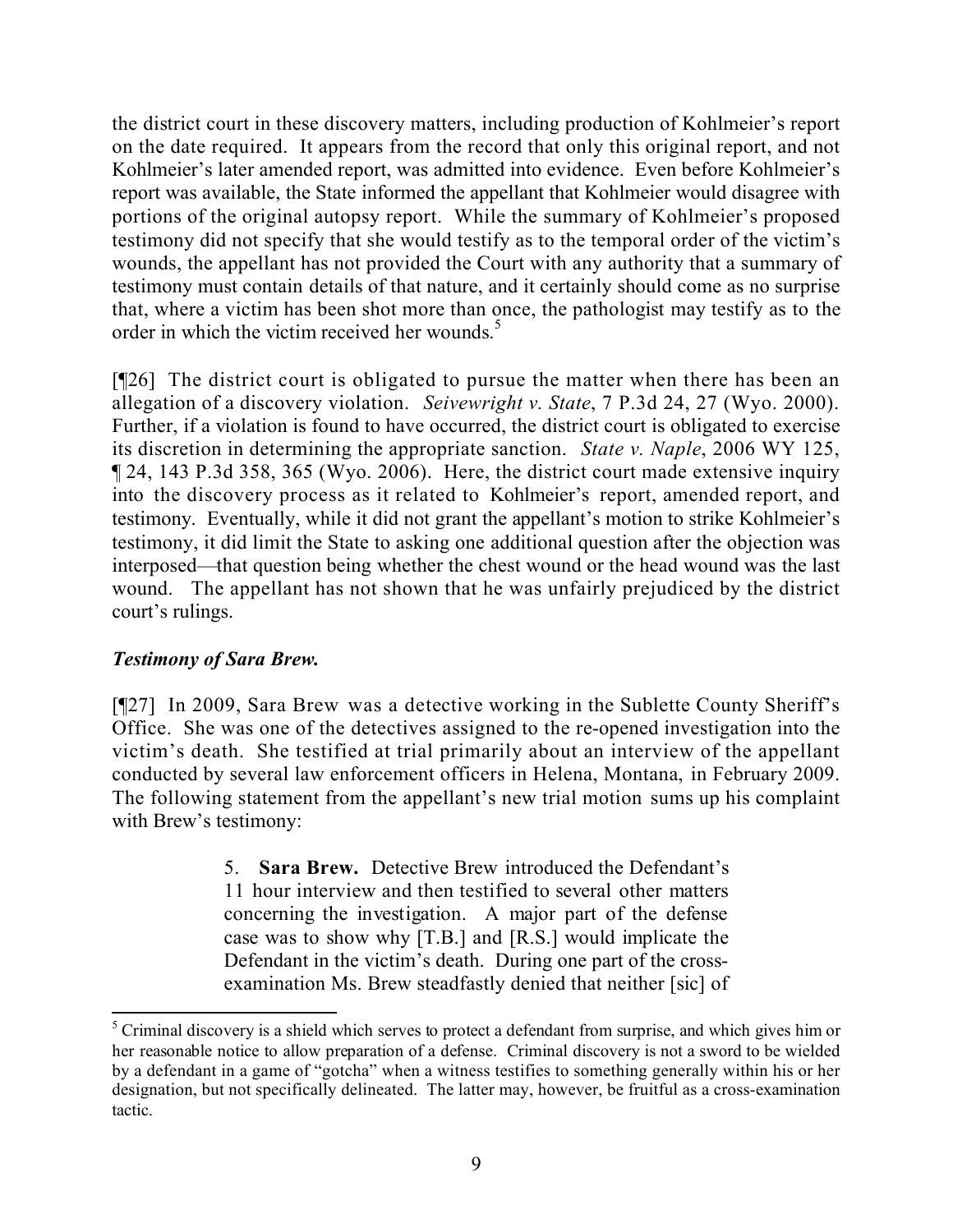the district court in these discovery matters, including production of Kohlmeier's report on the date required. It appears from the record that only this original report, and not Kohlmeier's later amended report, was admitted into evidence. Even before Kohlmeier's report was available, the State informed the appellant that Kohlmeier would disagree with portions of the original autopsy report. While the summary of Kohlmeier's proposed testimony did not specify that she would testify as to the temporal order of the victim's wounds, the appellant has not provided the Court with any authority that a summary of testimony must contain details of that nature, and it certainly should come as no surprise that, where a victim has been shot more than once, the pathologist may testify as to the order in which the victim received her wounds.<sup>5</sup>

[¶26] The district court is obligated to pursue the matter when there has been an allegation of a discovery violation. *Seivewright v. State*, 7 P.3d 24, 27 (Wyo. 2000). Further, if a violation is found to have occurred, the district court is obligated to exercise its discretion in determining the appropriate sanction. *State v. Naple*, 2006 WY 125, ¶ 24, 143 P.3d 358, 365 (Wyo. 2006). Here, the district court made extensive inquiry into the discovery process as it related to Kohlmeier's report, amended report, and testimony. Eventually, while it did not grant the appellant's motion to strike Kohlmeier's testimony, it did limit the State to asking one additional question after the objection was interposed—that question being whether the chest wound or the head wound was the last wound. The appellant has not shown that he was unfairly prejudiced by the district court's rulings.

## *Testimony of Sara Brew.*

[¶27] In 2009, Sara Brew was a detective working in the Sublette County Sheriff's Office. She was one of the detectives assigned to the re-opened investigation into the victim's death. She testified at trial primarily about an interview of the appellant conducted by several law enforcement officers in Helena, Montana, in February 2009. The following statement from the appellant's new trial motion sums up his complaint with Brew's testimony:

> 5. **Sara Brew.** Detective Brew introduced the Defendant's 11 hour interview and then testified to several other matters concerning the investigation. A major part of the defense case was to show why [T.B.] and [R.S.] would implicate the Defendant in the victim's death. During one part of the crossexamination Ms. Brew steadfastly denied that neither [sic] of

  $<sup>5</sup>$  Criminal discovery is a shield which serves to protect a defendant from surprise, and which gives him or</sup> her reasonable notice to allow preparation of a defense. Criminal discovery is not a sword to be wielded by a defendant in a game of "gotcha" when a witness testifies to something generally within his or her designation, but not specifically delineated. The latter may, however, be fruitful as a cross-examination tactic.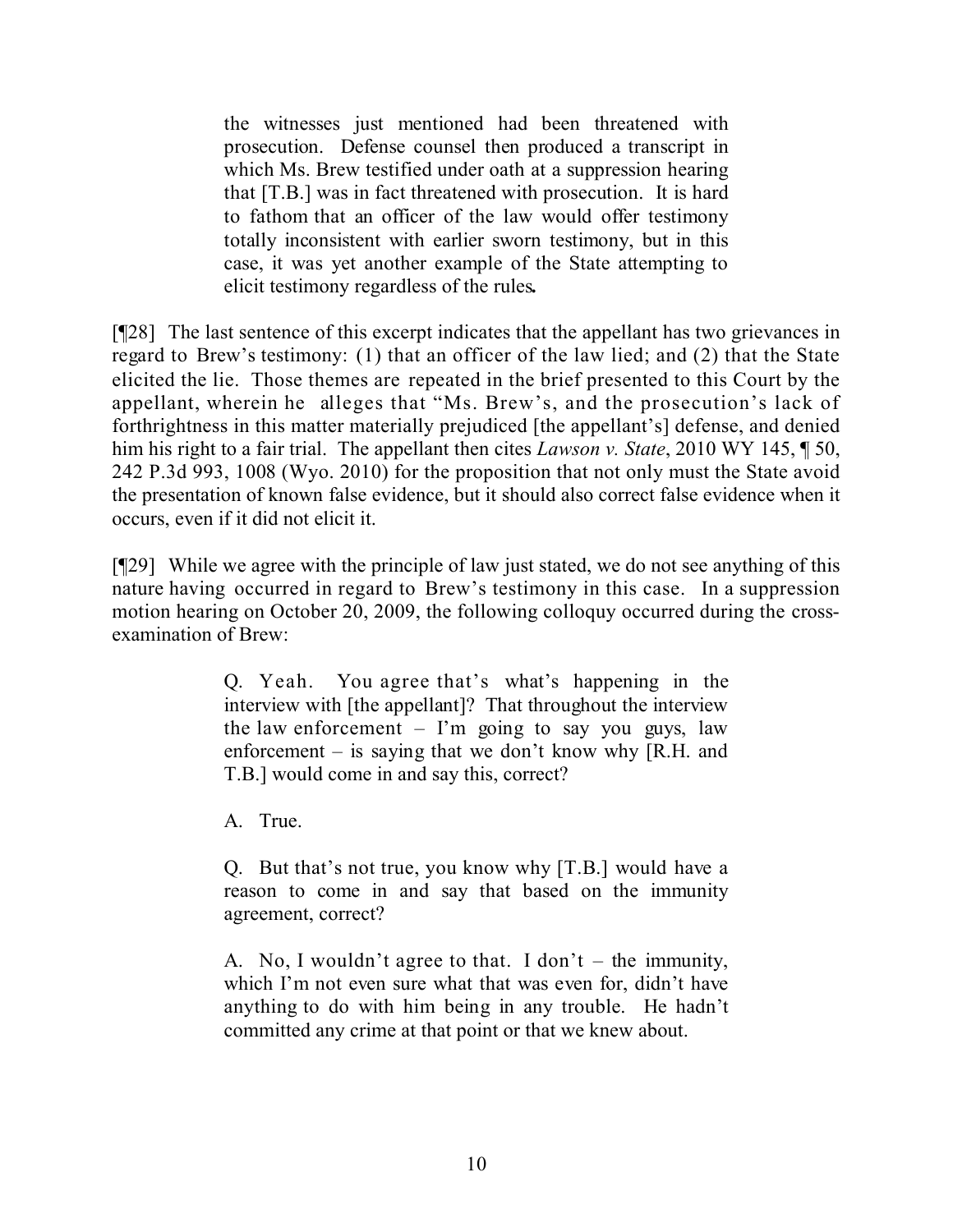the witnesses just mentioned had been threatened with prosecution. Defense counsel then produced a transcript in which Ms. Brew testified under oath at a suppression hearing that [T.B.] was in fact threatened with prosecution. It is hard to fathom that an officer of the law would offer testimony totally inconsistent with earlier sworn testimony, but in this case, it was yet another example of the State attempting to elicit testimony regardless of the rules*.*

[¶28] The last sentence of this excerpt indicates that the appellant has two grievances in regard to Brew's testimony: (1) that an officer of the law lied; and (2) that the State elicited the lie. Those themes are repeated in the brief presented to this Court by the appellant, wherein he alleges that "Ms. Brew's, and the prosecution's lack of forthrightness in this matter materially prejudiced [the appellant's] defense, and denied him his right to a fair trial. The appellant then cites *Lawson v. State*, 2010 WY 145, ¶ 50, 242 P.3d 993, 1008 (Wyo. 2010) for the proposition that not only must the State avoid the presentation of known false evidence, but it should also correct false evidence when it occurs, even if it did not elicit it.

[¶29] While we agree with the principle of law just stated, we do not see anything of this nature having occurred in regard to Brew's testimony in this case. In a suppression motion hearing on October 20, 2009, the following colloquy occurred during the crossexamination of Brew:

> Q. Yeah. You agree that's what's happening in the interview with [the appellant]? That throughout the interview the law enforcement  $-$  I'm going to say you guys, law enforcement – is saying that we don't know why [R.H. and T.B.] would come in and say this, correct?

A. True.

Q. But that's not true, you know why [T.B.] would have a reason to come in and say that based on the immunity agreement, correct?

A. No, I wouldn't agree to that. I don't – the immunity, which I'm not even sure what that was even for, didn't have anything to do with him being in any trouble. He hadn't committed any crime at that point or that we knew about.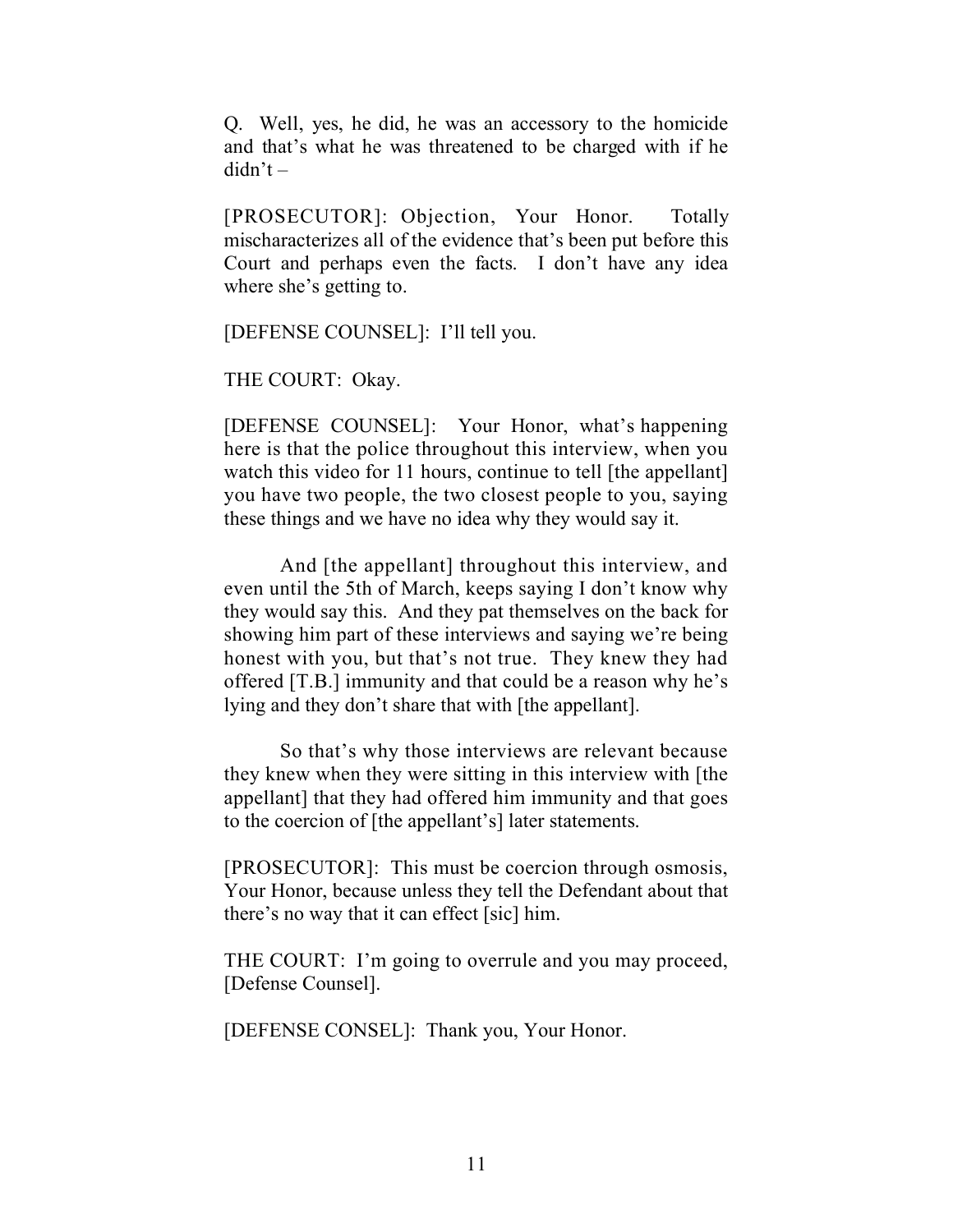Q. Well, yes, he did, he was an accessory to the homicide and that's what he was threatened to be charged with if he didn't –

[PROSECUTOR]: Objection, Your Honor. Totally mischaracterizes all of the evidence that's been put before this Court and perhaps even the facts. I don't have any idea where she's getting to.

[DEFENSE COUNSEL]: I'll tell you.

THE COURT: Okay.

[DEFENSE COUNSEL]: Your Honor, what's happening here is that the police throughout this interview, when you watch this video for 11 hours, continue to tell [the appellant] you have two people, the two closest people to you, saying these things and we have no idea why they would say it.

And [the appellant] throughout this interview, and even until the 5th of March, keeps saying I don't know why they would say this. And they pat themselves on the back for showing him part of these interviews and saying we're being honest with you, but that's not true. They knew they had offered [T.B.] immunity and that could be a reason why he's lying and they don't share that with [the appellant].

So that's why those interviews are relevant because they knew when they were sitting in this interview with [the appellant] that they had offered him immunity and that goes to the coercion of [the appellant's] later statements.

[PROSECUTOR]: This must be coercion through osmosis, Your Honor, because unless they tell the Defendant about that there's no way that it can effect [sic] him.

THE COURT: I'm going to overrule and you may proceed, [Defense Counsel].

[DEFENSE CONSEL]: Thank you, Your Honor.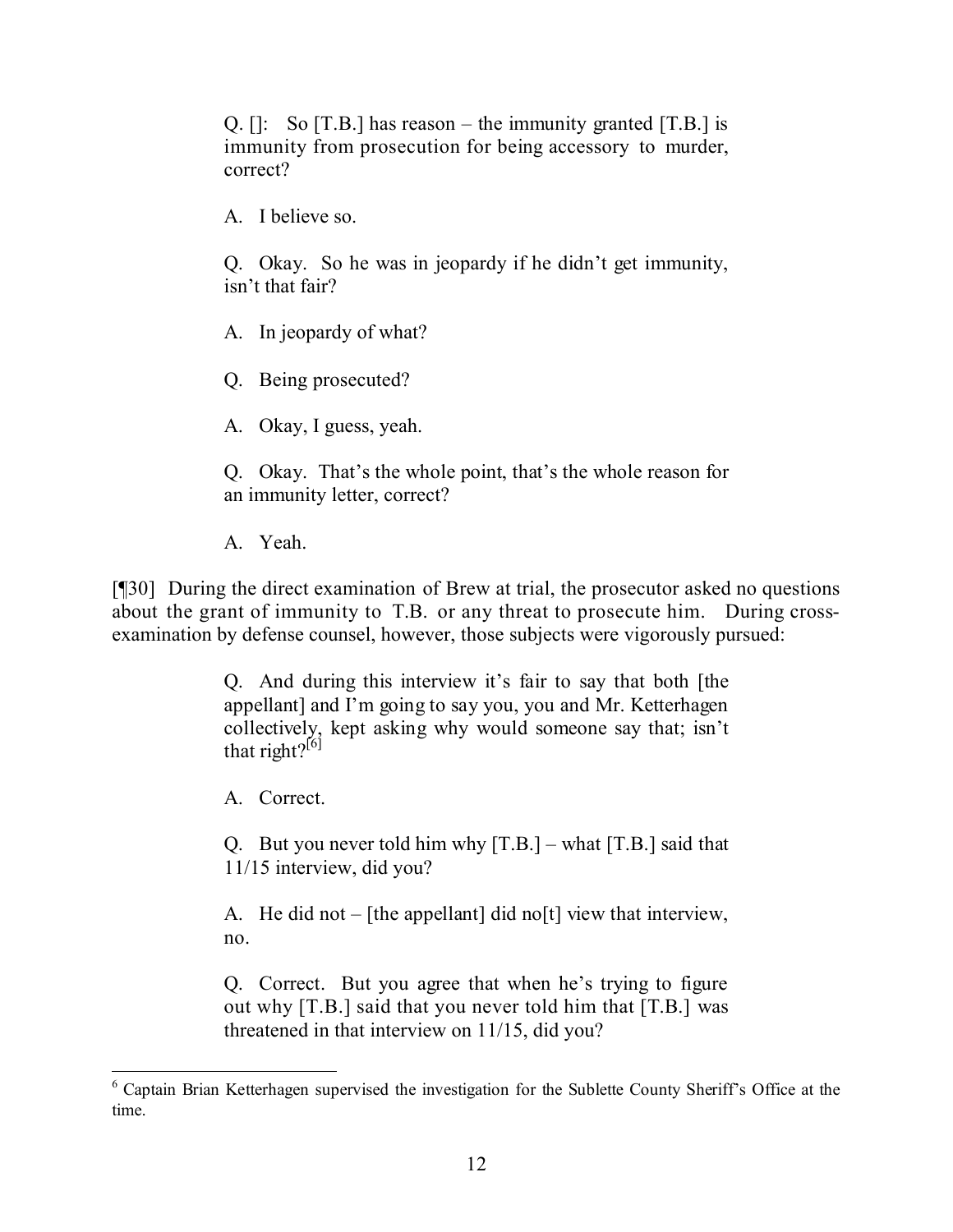Q.  $[$   $]$ : So  $[T.B.]$  has reason – the immunity granted  $[T.B.]$  is immunity from prosecution for being accessory to murder, correct?

A. I believe so.

Q. Okay. So he was in jeopardy if he didn't get immunity, isn't that fair?

A. In jeopardy of what?

Q. Being prosecuted?

A. Okay, I guess, yeah.

Q. Okay. That's the whole point, that's the whole reason for an immunity letter, correct?

A. Yeah.

[¶30] During the direct examination of Brew at trial, the prosecutor asked no questions about the grant of immunity to T.B. or any threat to prosecute him. During crossexamination by defense counsel, however, those subjects were vigorously pursued:

> Q. And during this interview it's fair to say that both [the appellant] and I'm going to say you, you and Mr. Ketterhagen collectively, kept asking why would someone say that; isn't that right?<sup>[6]</sup>

A. Correct.

Q. But you never told him why  $[T.B.]$  – what  $[T.B.]$  said that 11/15 interview, did you?

A. He did not – [the appellant] did no[t] view that interview, no.

Q. Correct. But you agree that when he's trying to figure out why [T.B.] said that you never told him that [T.B.] was threatened in that interview on 11/15, did you?

 <sup>6</sup> Captain Brian Ketterhagen supervised the investigation for the Sublette County Sheriff's Office at the time.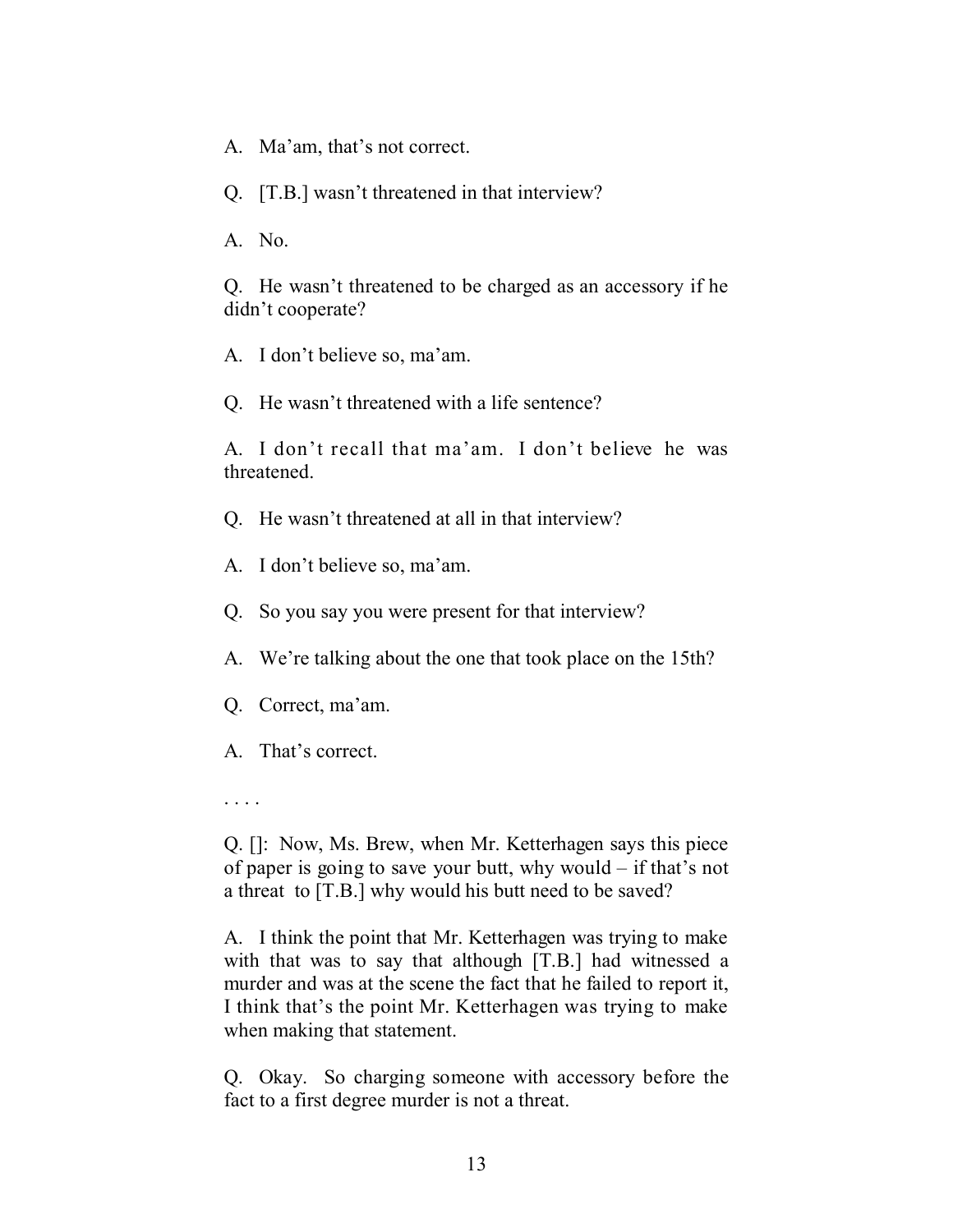- A. Ma'am, that's not correct.
- Q. [T.B.] wasn't threatened in that interview?
- A. No.

Q. He wasn't threatened to be charged as an accessory if he didn't cooperate?

A. I don't believe so, ma'am.

Q. He wasn't threatened with a life sentence?

A. I don't recall that ma'am. I don't believe he was threatened.

- Q. He wasn't threatened at all in that interview?
- A. I don't believe so, ma'am.
- Q. So you say you were present for that interview?
- A. We're talking about the one that took place on the 15th?
- Q. Correct, ma'am.
- A. That's correct.

. . . .

Q. []: Now, Ms. Brew, when Mr. Ketterhagen says this piece of paper is going to save your butt, why would – if that's not a threat to [T.B.] why would his butt need to be saved?

A. I think the point that Mr. Ketterhagen was trying to make with that was to say that although [T.B.] had witnessed a murder and was at the scene the fact that he failed to report it, I think that's the point Mr. Ketterhagen was trying to make when making that statement.

Q. Okay. So charging someone with accessory before the fact to a first degree murder is not a threat.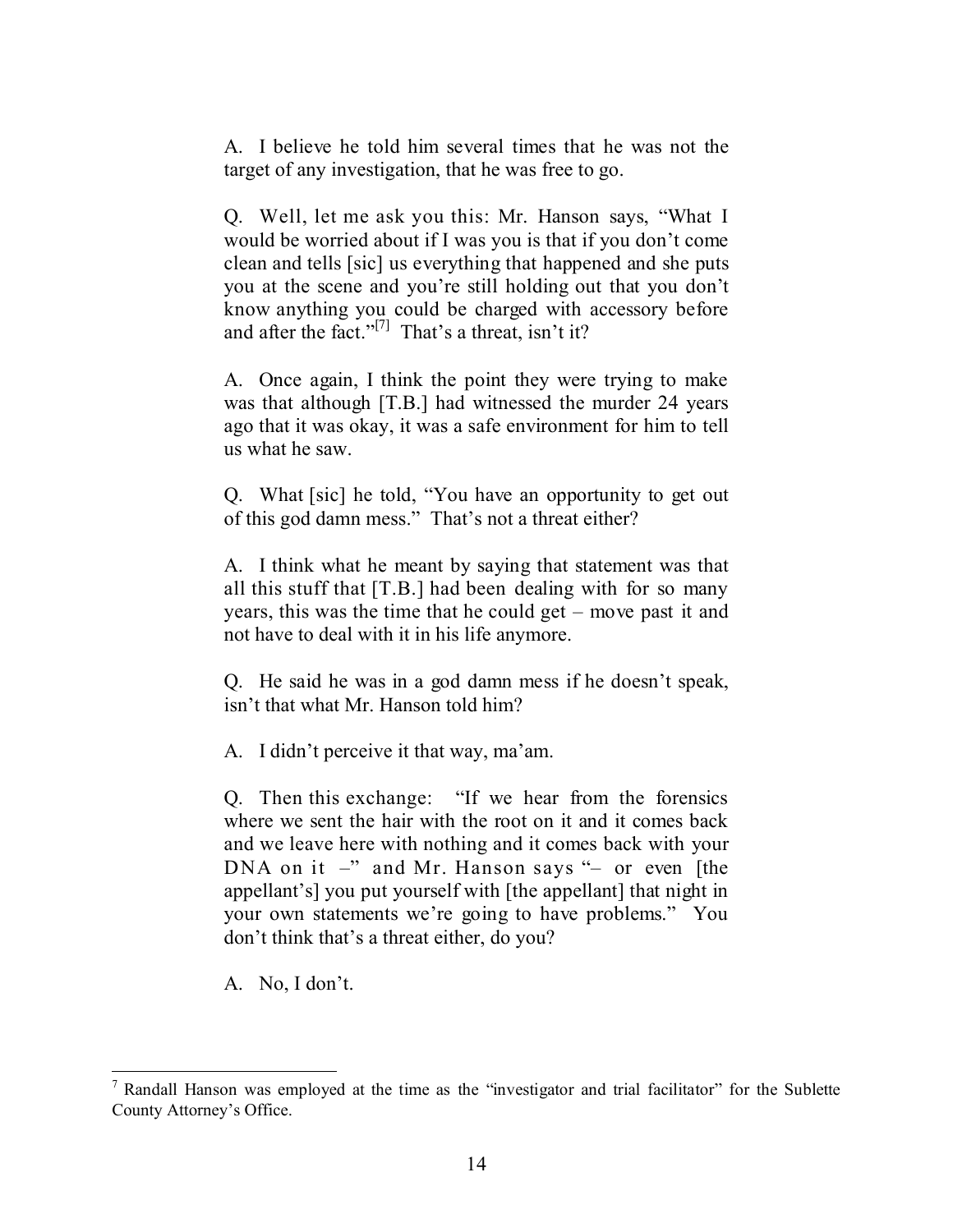A. I believe he told him several times that he was not the target of any investigation, that he was free to go.

Q. Well, let me ask you this: Mr. Hanson says, "What I would be worried about if I was you is that if you don't come clean and tells [sic] us everything that happened and she puts you at the scene and you're still holding out that you don't know anything you could be charged with accessory before and after the fact."<sup>[7]</sup> That's a threat, isn't it?

A. Once again, I think the point they were trying to make was that although [T.B.] had witnessed the murder 24 years ago that it was okay, it was a safe environment for him to tell us what he saw.

Q. What [sic] he told, "You have an opportunity to get out of this god damn mess." That's not a threat either?

A. I think what he meant by saying that statement was that all this stuff that [T.B.] had been dealing with for so many years, this was the time that he could get – move past it and not have to deal with it in his life anymore.

Q. He said he was in a god damn mess if he doesn't speak, isn't that what Mr. Hanson told him?

A. I didn't perceive it that way, ma'am.

Q. Then this exchange: "If we hear from the forensics where we sent the hair with the root on it and it comes back and we leave here with nothing and it comes back with your DNA on it –" and Mr. Hanson says "– or even [the appellant's] you put yourself with [the appellant] that night in your own statements we're going to have problems." You don't think that's a threat either, do you?

A. No, I don't.

  $<sup>7</sup>$  Randall Hanson was employed at the time as the "investigator and trial facilitator" for the Sublette</sup> County Attorney's Office.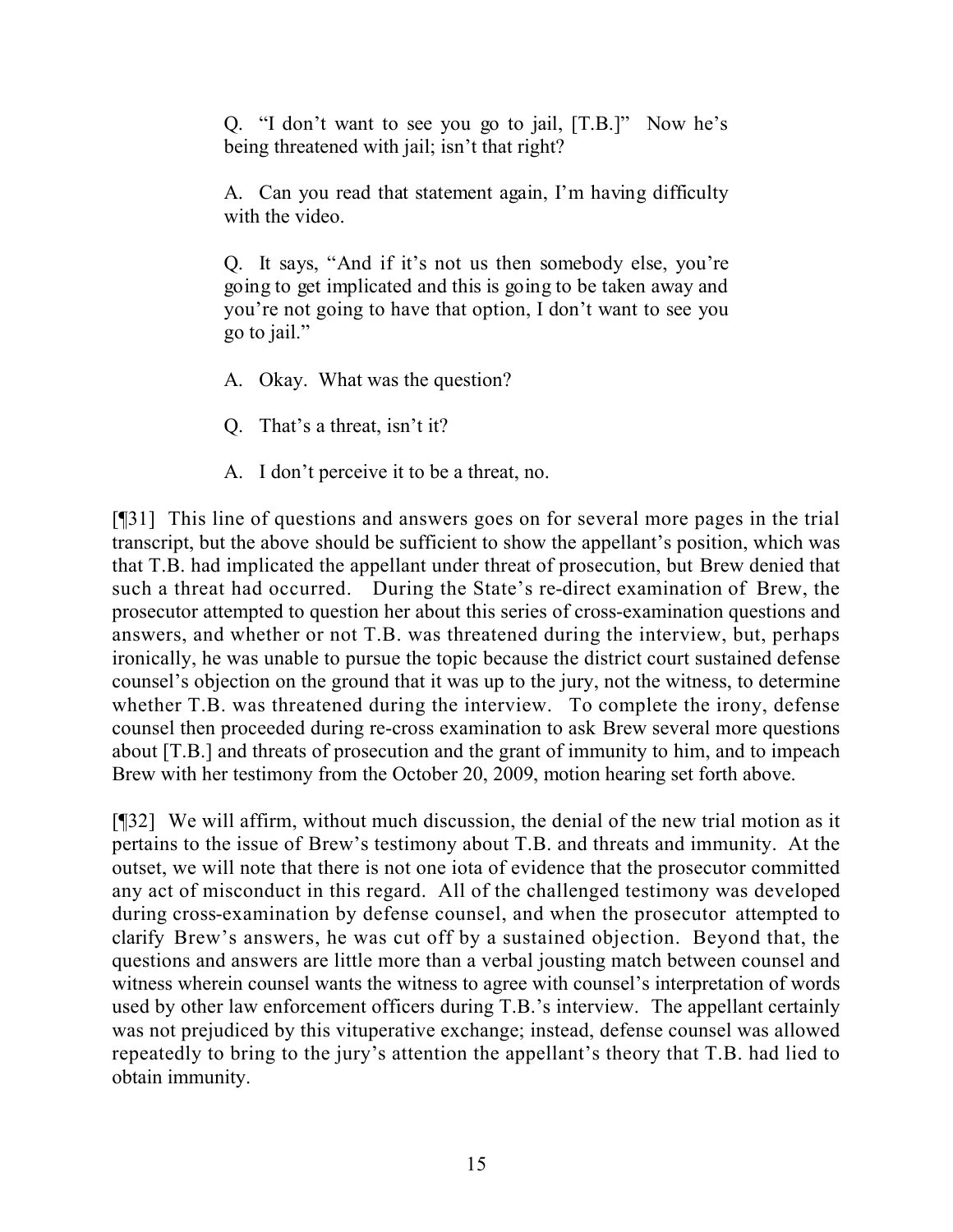Q. "I don't want to see you go to jail, [T.B.]" Now he's being threatened with jail; isn't that right?

A. Can you read that statement again, I'm having difficulty with the video.

Q. It says, "And if it's not us then somebody else, you're going to get implicated and this is going to be taken away and you're not going to have that option, I don't want to see you go to jail."

A. Okay. What was the question?

Q. That's a threat, isn't it?

A. I don't perceive it to be a threat, no.

[¶31] This line of questions and answers goes on for several more pages in the trial transcript, but the above should be sufficient to show the appellant's position, which was that T.B. had implicated the appellant under threat of prosecution, but Brew denied that such a threat had occurred. During the State's re-direct examination of Brew, the prosecutor attempted to question her about this series of cross-examination questions and answers, and whether or not T.B. was threatened during the interview, but, perhaps ironically, he was unable to pursue the topic because the district court sustained defense counsel's objection on the ground that it was up to the jury, not the witness, to determine whether T.B. was threatened during the interview. To complete the irony, defense counsel then proceeded during re-cross examination to ask Brew several more questions about [T.B.] and threats of prosecution and the grant of immunity to him, and to impeach Brew with her testimony from the October 20, 2009, motion hearing set forth above.

[¶32] We will affirm, without much discussion, the denial of the new trial motion as it pertains to the issue of Brew's testimony about T.B. and threats and immunity. At the outset, we will note that there is not one iota of evidence that the prosecutor committed any act of misconduct in this regard. All of the challenged testimony was developed during cross-examination by defense counsel, and when the prosecutor attempted to clarify Brew's answers, he was cut off by a sustained objection. Beyond that, the questions and answers are little more than a verbal jousting match between counsel and witness wherein counsel wants the witness to agree with counsel's interpretation of words used by other law enforcement officers during T.B.'s interview. The appellant certainly was not prejudiced by this vituperative exchange; instead, defense counsel was allowed repeatedly to bring to the jury's attention the appellant's theory that T.B. had lied to obtain immunity.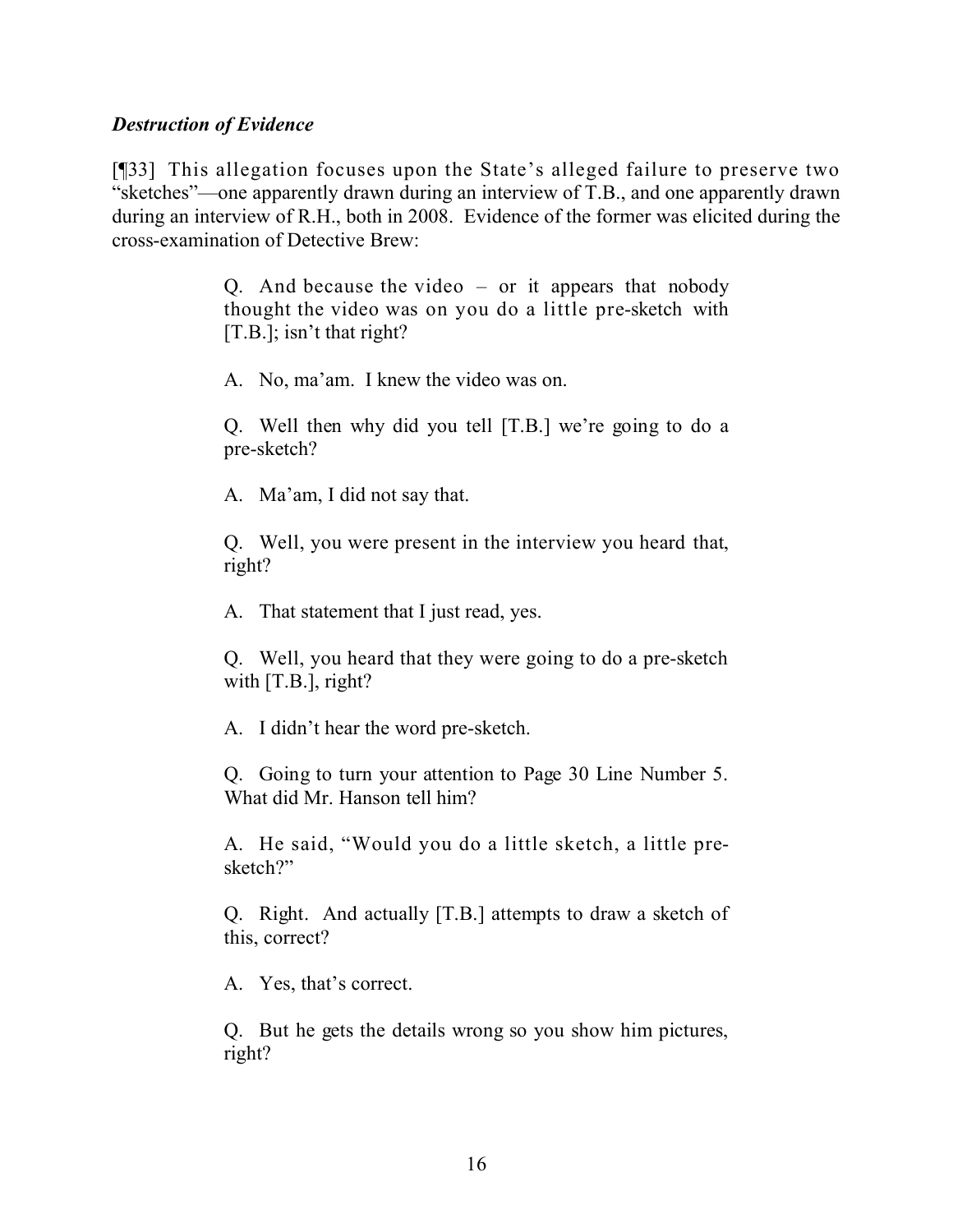#### *Destruction of Evidence*

[¶33] This allegation focuses upon the State's alleged failure to preserve two "sketches"—one apparently drawn during an interview of T.B., and one apparently drawn during an interview of R.H., both in 2008. Evidence of the former was elicited during the cross-examination of Detective Brew:

> Q. And because the video – or it appears that nobody thought the video was on you do a little pre-sketch with [T.B.]; isn't that right?

A. No, ma'am. I knew the video was on.

Q. Well then why did you tell [T.B.] we're going to do a pre-sketch?

A. Ma'am, I did not say that.

Q. Well, you were present in the interview you heard that, right?

A. That statement that I just read, yes.

Q. Well, you heard that they were going to do a pre-sketch with [T.B.], right?

A. I didn't hear the word pre-sketch.

Q. Going to turn your attention to Page 30 Line Number 5. What did Mr. Hanson tell him?

A. He said, "Would you do a little sketch, a little presketch?"

Q. Right. And actually [T.B.] attempts to draw a sketch of this, correct?

A. Yes, that's correct.

Q. But he gets the details wrong so you show him pictures, right?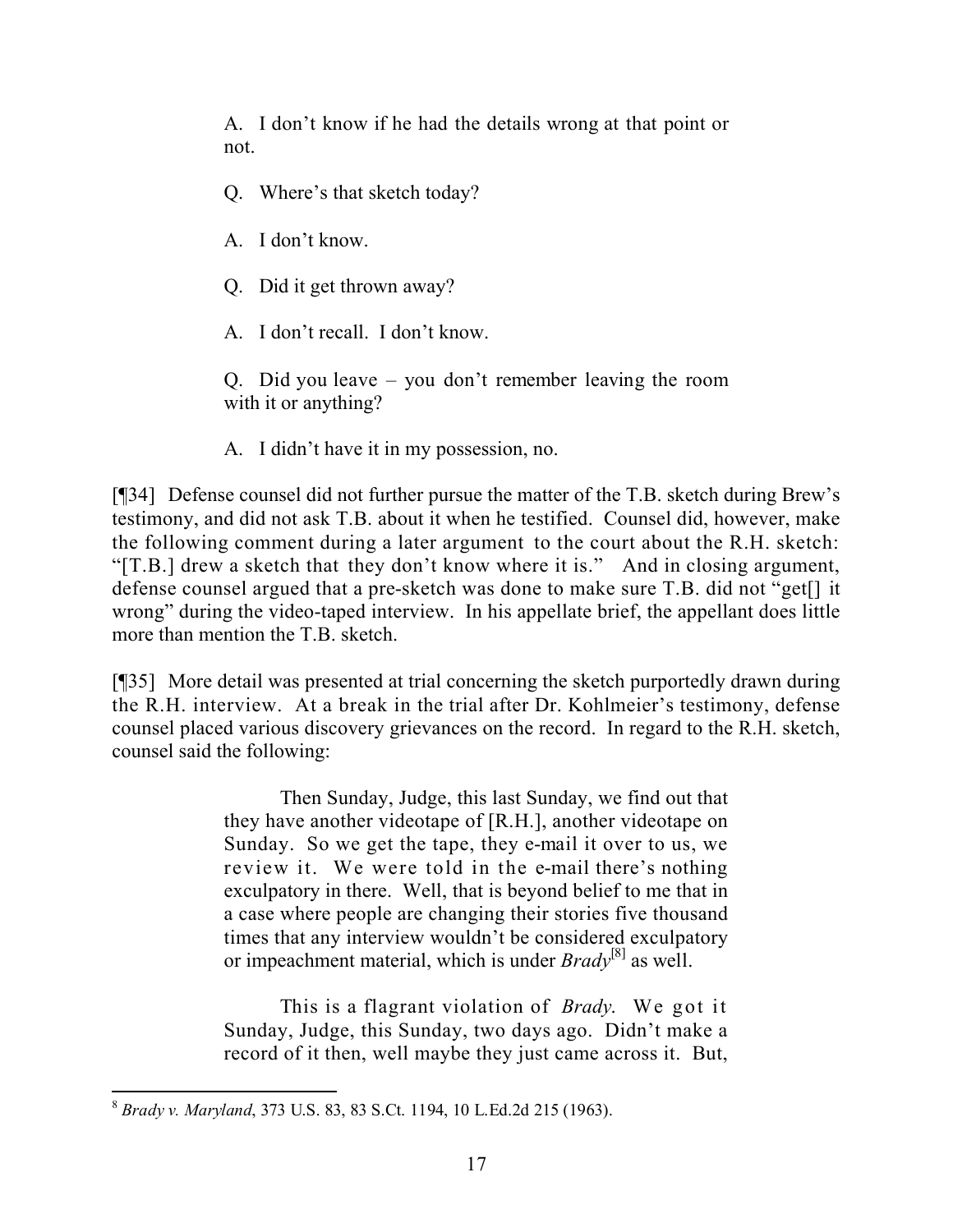A. I don't know if he had the details wrong at that point or not.

- Q. Where's that sketch today?
- A. I don't know.
- Q. Did it get thrown away?
- A. I don't recall. I don't know.

Q. Did you leave – you don't remember leaving the room with it or anything?

A. I didn't have it in my possession, no.

[¶34] Defense counsel did not further pursue the matter of the T.B. sketch during Brew's testimony, and did not ask T.B. about it when he testified. Counsel did, however, make the following comment during a later argument to the court about the R.H. sketch: "[T.B.] drew a sketch that they don't know where it is." And in closing argument, defense counsel argued that a pre-sketch was done to make sure T.B. did not "get[] it wrong" during the video-taped interview. In his appellate brief, the appellant does little more than mention the T.B. sketch.

[¶35] More detail was presented at trial concerning the sketch purportedly drawn during the R.H. interview. At a break in the trial after Dr. Kohlmeier's testimony, defense counsel placed various discovery grievances on the record. In regard to the R.H. sketch, counsel said the following:

> Then Sunday, Judge, this last Sunday, we find out that they have another videotape of [R.H.], another videotape on Sunday. So we get the tape, they e-mail it over to us, we review it. We were told in the e-mail there's nothing exculpatory in there. Well, that is beyond belief to me that in a case where people are changing their stories five thousand times that any interview wouldn't be considered exculpatory or impeachment material, which is under *Brady*[8] as well.

> This is a flagrant violation of *Brady*. We got it Sunday, Judge, this Sunday, two days ago. Didn't make a record of it then, well maybe they just came across it. But,

 <sup>8</sup> *Brady v. Maryland*, 373 U.S. 83, 83 S.Ct. 1194, 10 L.Ed.2d 215 (1963).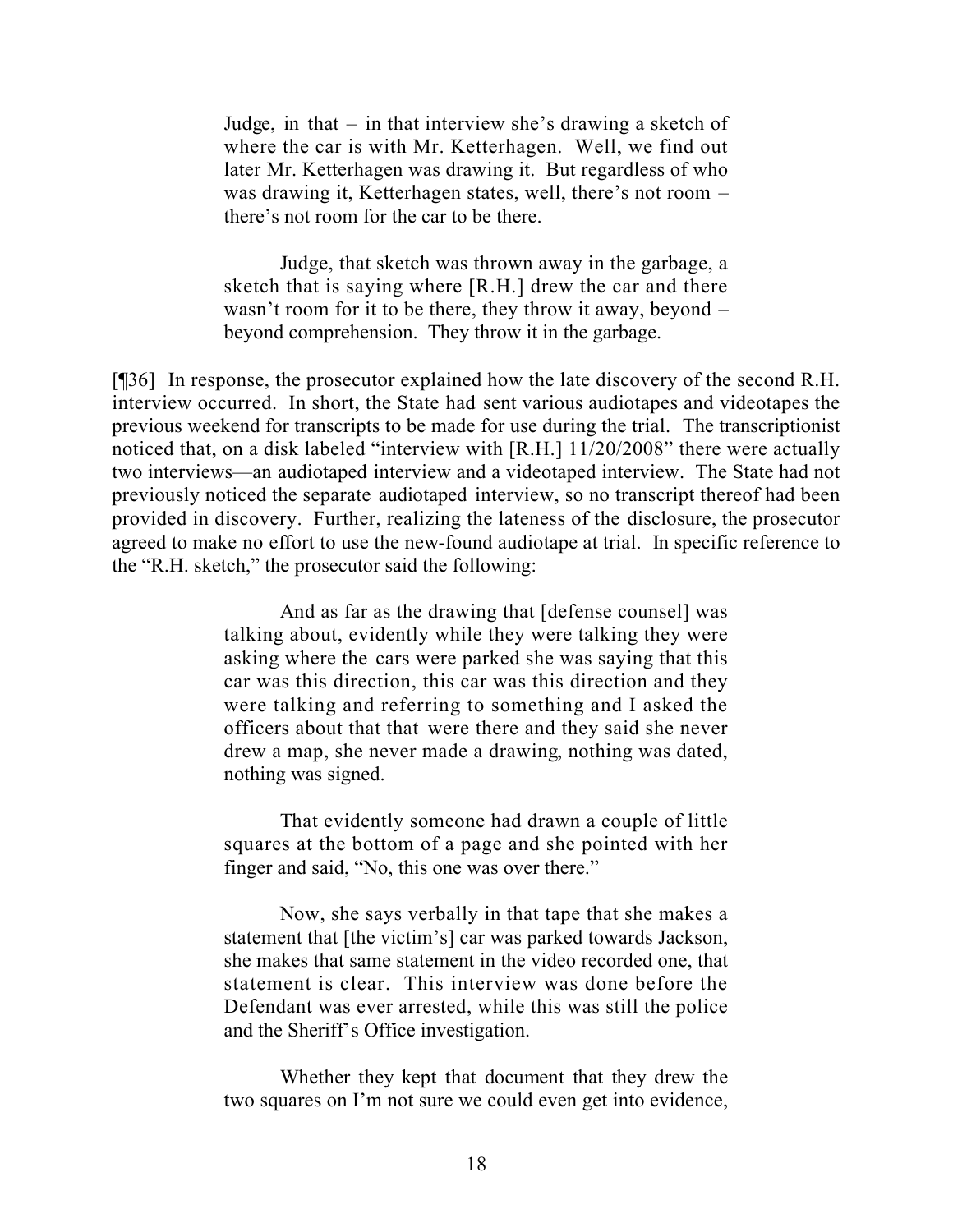Judge, in that – in that interview she's drawing a sketch of where the car is with Mr. Ketterhagen. Well, we find out later Mr. Ketterhagen was drawing it. But regardless of who was drawing it, Ketterhagen states, well, there's not room – there's not room for the car to be there.

Judge, that sketch was thrown away in the garbage, a sketch that is saying where [R.H.] drew the car and there wasn't room for it to be there, they throw it away, beyond – beyond comprehension. They throw it in the garbage.

[¶36] In response, the prosecutor explained how the late discovery of the second R.H. interview occurred. In short, the State had sent various audiotapes and videotapes the previous weekend for transcripts to be made for use during the trial. The transcriptionist noticed that, on a disk labeled "interview with [R.H.] 11/20/2008" there were actually two interviews—an audiotaped interview and a videotaped interview. The State had not previously noticed the separate audiotaped interview, so no transcript thereof had been provided in discovery. Further, realizing the lateness of the disclosure, the prosecutor agreed to make no effort to use the new-found audiotape at trial. In specific reference to the "R.H. sketch," the prosecutor said the following:

> And as far as the drawing that [defense counsel] was talking about, evidently while they were talking they were asking where the cars were parked she was saying that this car was this direction, this car was this direction and they were talking and referring to something and I asked the officers about that that were there and they said she never drew a map, she never made a drawing, nothing was dated, nothing was signed.

> That evidently someone had drawn a couple of little squares at the bottom of a page and she pointed with her finger and said, "No, this one was over there."

> Now, she says verbally in that tape that she makes a statement that [the victim's] car was parked towards Jackson, she makes that same statement in the video recorded one, that statement is clear. This interview was done before the Defendant was ever arrested, while this was still the police and the Sheriff's Office investigation.

> Whether they kept that document that they drew the two squares on I'm not sure we could even get into evidence,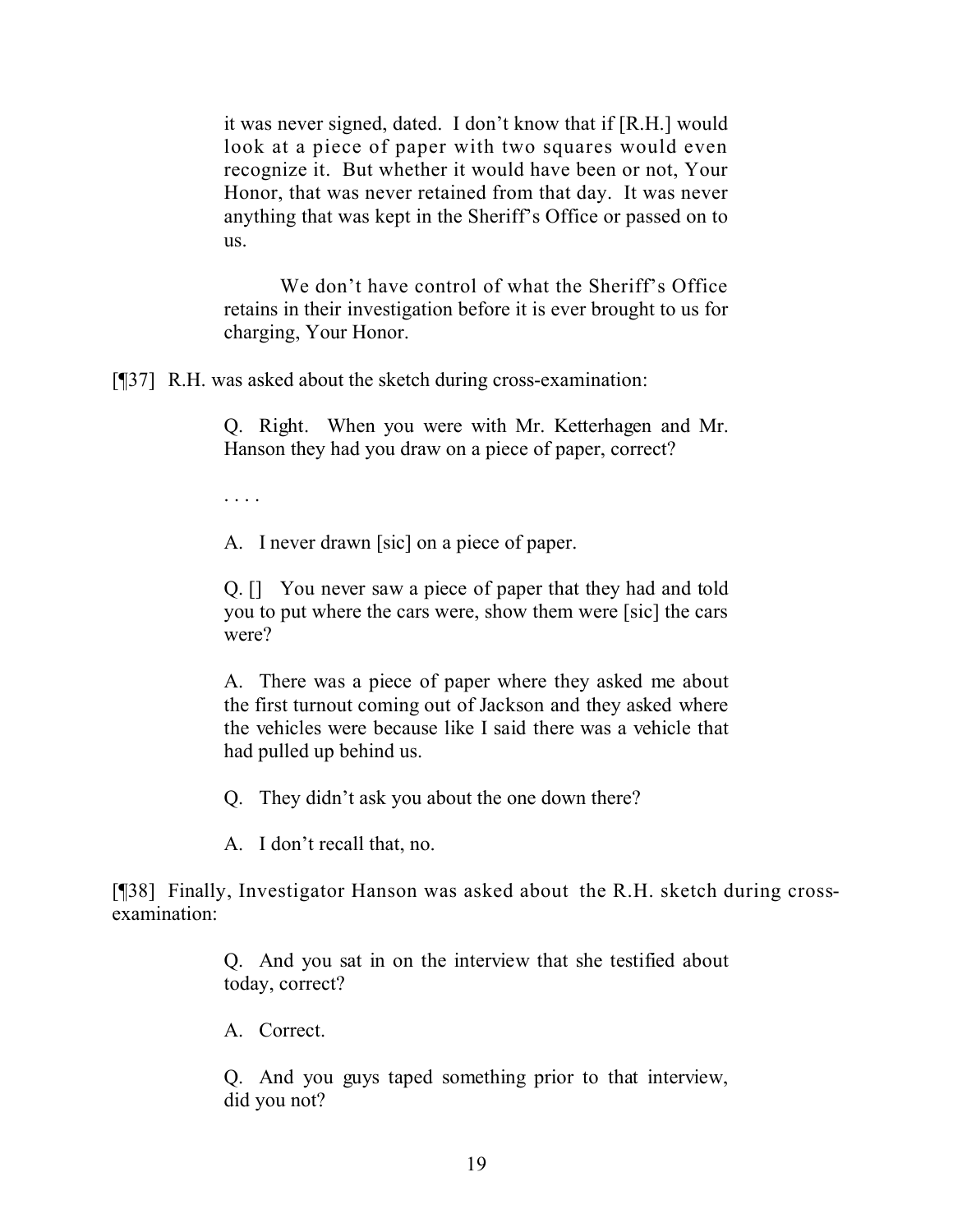it was never signed, dated. I don't know that if [R.H.] would look at a piece of paper with two squares would even recognize it. But whether it would have been or not, Your Honor, that was never retained from that day. It was never anything that was kept in the Sheriff's Office or passed on to us.

We don't have control of what the Sheriff's Office retains in their investigation before it is ever brought to us for charging, Your Honor.

[¶37] R.H. was asked about the sketch during cross-examination:

Q. Right. When you were with Mr. Ketterhagen and Mr. Hanson they had you draw on a piece of paper, correct?

. . . .

A. I never drawn [sic] on a piece of paper.

Q. [] You never saw a piece of paper that they had and told you to put where the cars were, show them were [sic] the cars were?

A. There was a piece of paper where they asked me about the first turnout coming out of Jackson and they asked where the vehicles were because like I said there was a vehicle that had pulled up behind us.

Q. They didn't ask you about the one down there?

A. I don't recall that, no.

[¶38] Finally, Investigator Hanson was asked about the R.H. sketch during crossexamination:

> Q. And you sat in on the interview that she testified about today, correct?

A. Correct.

Q. And you guys taped something prior to that interview, did you not?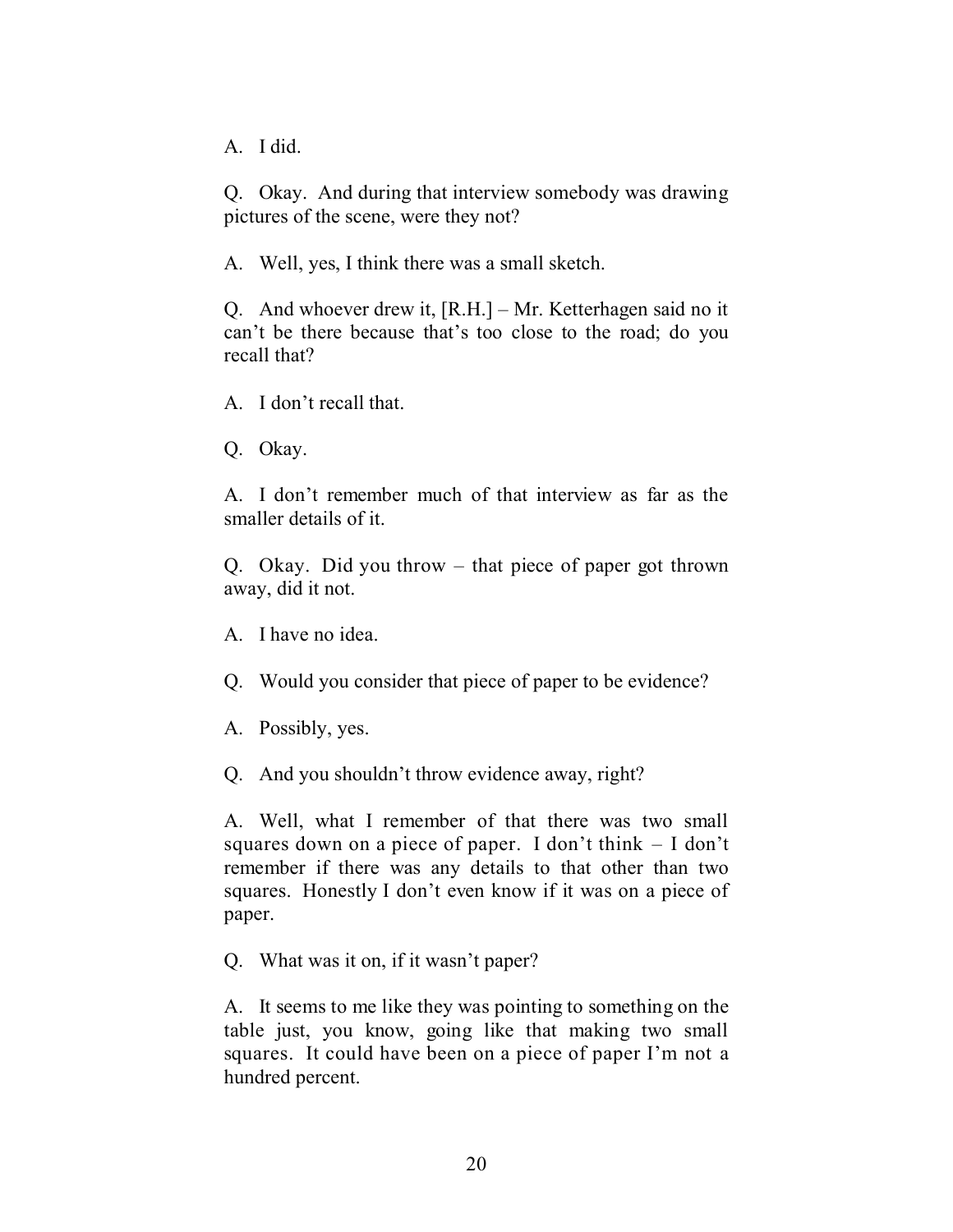A. I did.

Q. Okay. And during that interview somebody was drawing pictures of the scene, were they not?

A. Well, yes, I think there was a small sketch.

Q. And whoever drew it, [R.H.] – Mr. Ketterhagen said no it can't be there because that's too close to the road; do you recall that?

A. I don't recall that.

Q. Okay.

A. I don't remember much of that interview as far as the smaller details of it.

Q. Okay. Did you throw – that piece of paper got thrown away, did it not.

A. I have no idea.

Q. Would you consider that piece of paper to be evidence?

A. Possibly, yes.

Q. And you shouldn't throw evidence away, right?

A. Well, what I remember of that there was two small squares down on a piece of paper. I don't think – I don't remember if there was any details to that other than two squares. Honestly I don't even know if it was on a piece of paper.

Q. What was it on, if it wasn't paper?

A. It seems to me like they was pointing to something on the table just, you know, going like that making two small squares. It could have been on a piece of paper I'm not a hundred percent.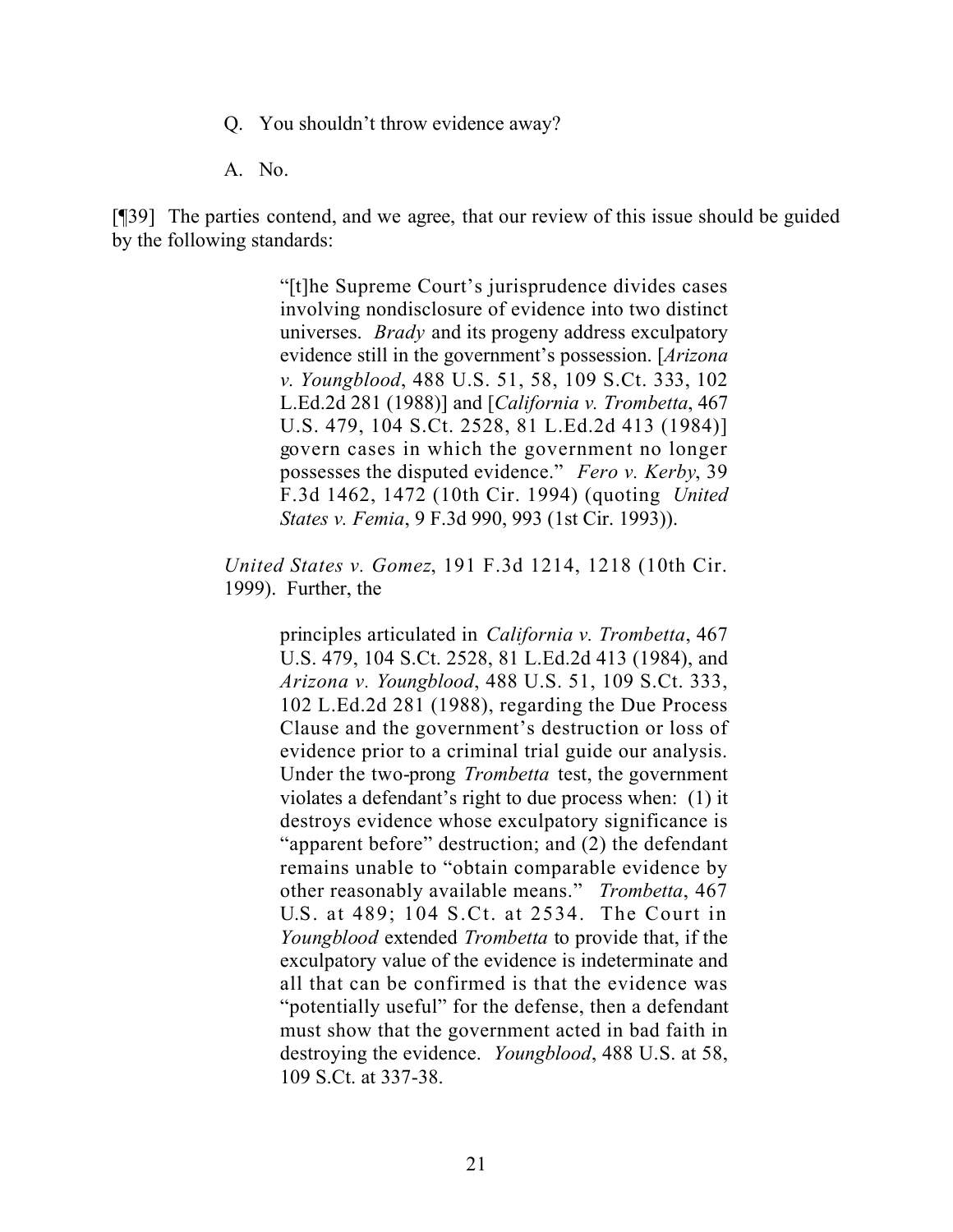- Q. You shouldn't throw evidence away?
- A. No.

[¶39] The parties contend, and we agree, that our review of this issue should be guided by the following standards:

> "[t]he Supreme Court's jurisprudence divides cases involving nondisclosure of evidence into two distinct universes. *Brady* and its progeny address exculpatory evidence still in the government's possession. [*Arizona v. Youngblood*, 488 U.S. 51, 58, 109 S.Ct. 333, 102 L.Ed.2d 281 (1988)] and [*California v. Trombetta*, 467 U.S. 479, 104 S.Ct. 2528, 81 L.Ed.2d 413 (1984)] govern cases in which the government no longer possesses the disputed evidence." *Fero v. Kerby*, 39 F.3d 1462, 1472 (10th Cir. 1994) (quoting *United States v. Femia*, 9 F.3d 990, 993 (1st Cir. 1993)).

*United States v. Gomez*, 191 F.3d 1214, 1218 (10th Cir. 1999). Further, the

> principles articulated in *California v. Trombetta*, 467 U.S. 479, 104 S.Ct. 2528, 81 L.Ed.2d 413 (1984), and *Arizona v. Youngblood*, 488 U.S. 51, 109 S.Ct. 333, 102 L.Ed.2d 281 (1988), regarding the Due Process Clause and the government's destruction or loss of evidence prior to a criminal trial guide our analysis. Under the two-prong *Trombetta* test, the government violates a defendant's right to due process when: (1) it destroys evidence whose exculpatory significance is "apparent before" destruction; and (2) the defendant remains unable to "obtain comparable evidence by other reasonably available means." *Trombetta*, 467 U.S. at 489; 104 S.Ct. at 2534. The Court in *Youngblood* extended *Trombetta* to provide that, if the exculpatory value of the evidence is indeterminate and all that can be confirmed is that the evidence was "potentially useful" for the defense, then a defendant must show that the government acted in bad faith in destroying the evidence. *Youngblood*, 488 U.S. at 58, 109 S.Ct. at 337-38.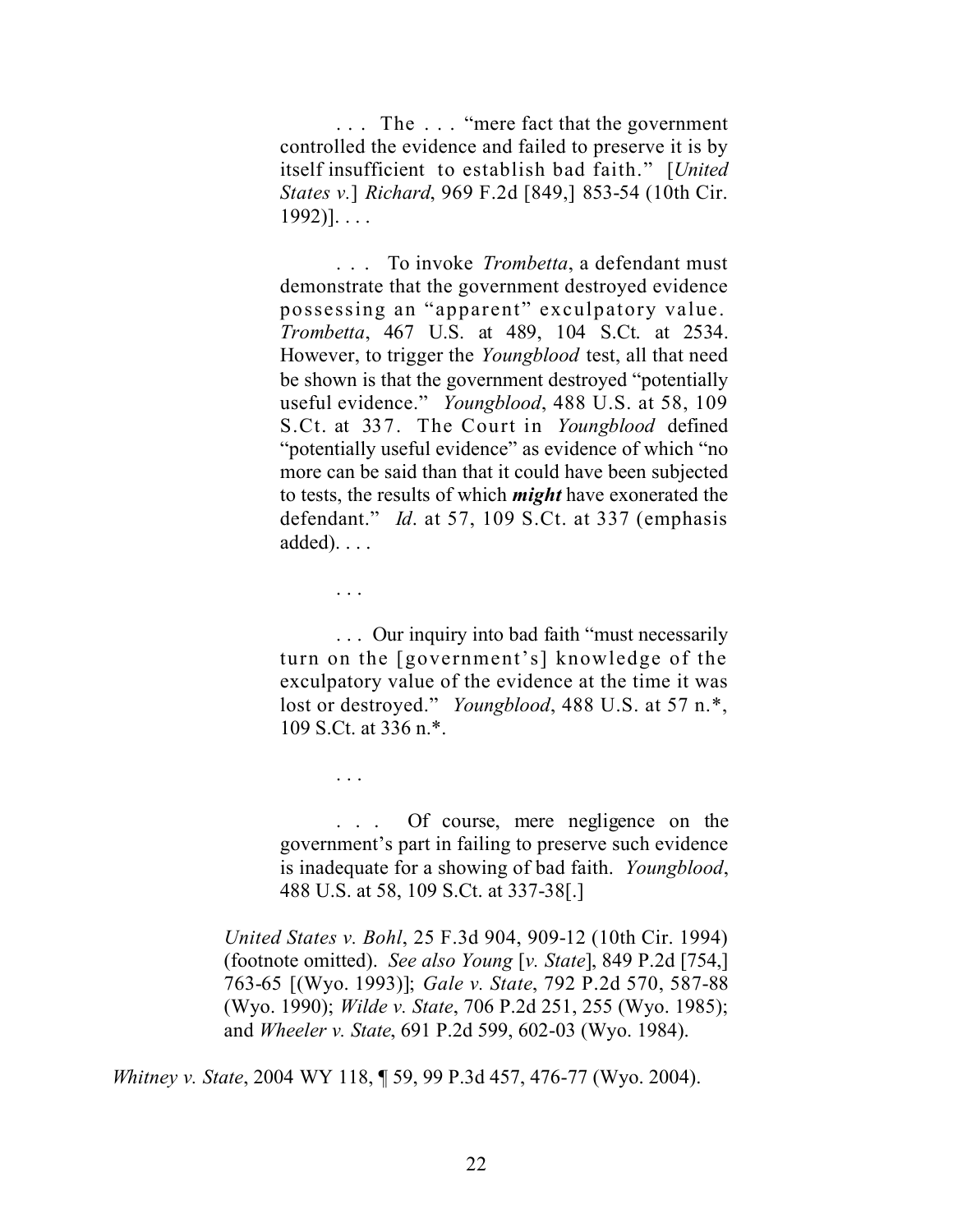. . . The . . . "mere fact that the government controlled the evidence and failed to preserve it is by itself insufficient to establish bad faith." [*United States v.*] *Richard*, 969 F.2d [849,] 853-54 (10th Cir.  $1992$ ]...

. . . To invoke *Trombetta*, a defendant must demonstrate that the government destroyed evidence possessing an "apparent" exculpatory value. *Trombetta*, 467 U.S. at 489, 104 S.Ct. at 2534. However, to trigger the *Youngblood* test, all that need be shown is that the government destroyed "potentially useful evidence." *Youngblood*, 488 U.S. at 58, 109 S.Ct. at 337. The Court in *Youngblood* defined "potentially useful evidence" as evidence of which "no more can be said than that it could have been subjected to tests, the results of which *might* have exonerated the defendant." *Id*. at 57, 109 S.Ct. at 337 (emphasis  $added)$ . . . .

. . .

. . .

. . . Our inquiry into bad faith "must necessarily turn on the [government's] knowledge of the exculpatory value of the evidence at the time it was lost or destroyed." *Youngblood*, 488 U.S. at 57 n.\*, 109 S.Ct. at 336 n.\*.

. . . Of course, mere negligence on the government's part in failing to preserve such evidence is inadequate for a showing of bad faith. *Youngblood*, 488 U.S. at 58, 109 S.Ct. at 337-38[.]

*United States v. Bohl*, 25 F.3d 904, 909-12 (10th Cir. 1994) (footnote omitted). *See also Young* [*v. State*], 849 P.2d [754,] 763-65 [(Wyo. 1993)]; *Gale v. State*, 792 P.2d 570, 587-88 (Wyo. 1990); *Wilde v. State*, 706 P.2d 251, 255 (Wyo. 1985); and *Wheeler v. State*, 691 P.2d 599, 602-03 (Wyo. 1984).

*Whitney v. State*, 2004 WY 118, ¶ 59, 99 P.3d 457, 476-77 (Wyo. 2004).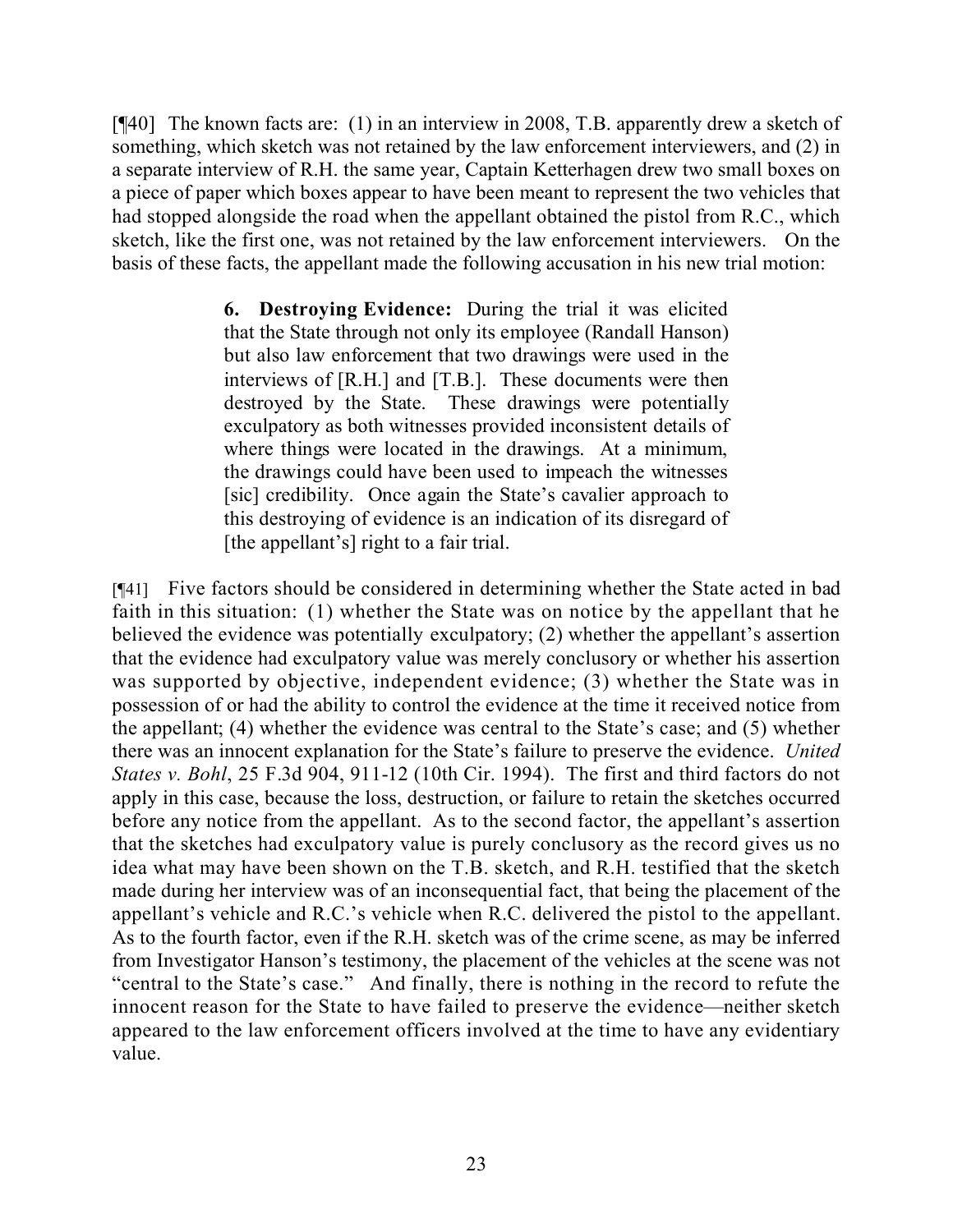[¶40] The known facts are: (1) in an interview in 2008, T.B. apparently drew a sketch of something, which sketch was not retained by the law enforcement interviewers, and (2) in a separate interview of R.H. the same year, Captain Ketterhagen drew two small boxes on a piece of paper which boxes appear to have been meant to represent the two vehicles that had stopped alongside the road when the appellant obtained the pistol from R.C., which sketch, like the first one, was not retained by the law enforcement interviewers. On the basis of these facts, the appellant made the following accusation in his new trial motion:

> **6. Destroying Evidence:** During the trial it was elicited that the State through not only its employee (Randall Hanson) but also law enforcement that two drawings were used in the interviews of [R.H.] and [T.B.]. These documents were then destroyed by the State. These drawings were potentially exculpatory as both witnesses provided inconsistent details of where things were located in the drawings. At a minimum, the drawings could have been used to impeach the witnesses [sic] credibility. Once again the State's cavalier approach to this destroying of evidence is an indication of its disregard of [the appellant's] right to a fair trial.

[¶41] Five factors should be considered in determining whether the State acted in bad faith in this situation: (1) whether the State was on notice by the appellant that he believed the evidence was potentially exculpatory; (2) whether the appellant's assertion that the evidence had exculpatory value was merely conclusory or whether his assertion was supported by objective, independent evidence; (3) whether the State was in possession of or had the ability to control the evidence at the time it received notice from the appellant; (4) whether the evidence was central to the State's case; and (5) whether there was an innocent explanation for the State's failure to preserve the evidence. *United States v. Bohl*, 25 F.3d 904, 911-12 (10th Cir. 1994). The first and third factors do not apply in this case, because the loss, destruction, or failure to retain the sketches occurred before any notice from the appellant. As to the second factor, the appellant's assertion that the sketches had exculpatory value is purely conclusory as the record gives us no idea what may have been shown on the T.B. sketch, and R.H. testified that the sketch made during her interview was of an inconsequential fact, that being the placement of the appellant's vehicle and R.C.'s vehicle when R.C. delivered the pistol to the appellant. As to the fourth factor, even if the R.H. sketch was of the crime scene, as may be inferred from Investigator Hanson's testimony, the placement of the vehicles at the scene was not "central to the State's case." And finally, there is nothing in the record to refute the innocent reason for the State to have failed to preserve the evidence—neither sketch appeared to the law enforcement officers involved at the time to have any evidentiary value.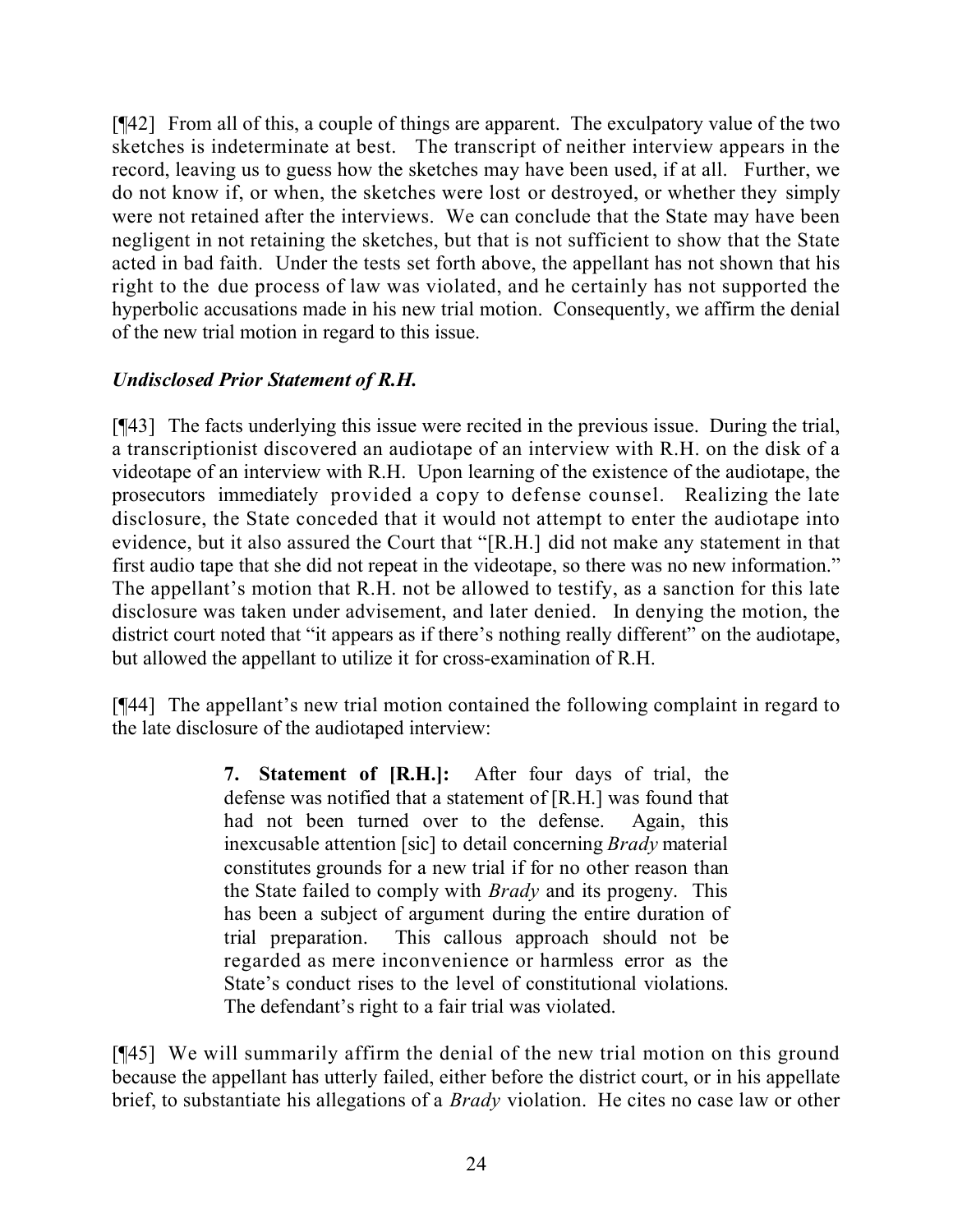[¶42] From all of this, a couple of things are apparent. The exculpatory value of the two sketches is indeterminate at best. The transcript of neither interview appears in the record, leaving us to guess how the sketches may have been used, if at all. Further, we do not know if, or when, the sketches were lost or destroyed, or whether they simply were not retained after the interviews. We can conclude that the State may have been negligent in not retaining the sketches, but that is not sufficient to show that the State acted in bad faith. Under the tests set forth above, the appellant has not shown that his right to the due process of law was violated, and he certainly has not supported the hyperbolic accusations made in his new trial motion. Consequently, we affirm the denial of the new trial motion in regard to this issue.

## *Undisclosed Prior Statement of R.H.*

[¶43] The facts underlying this issue were recited in the previous issue. During the trial, a transcriptionist discovered an audiotape of an interview with R.H. on the disk of a videotape of an interview with R.H. Upon learning of the existence of the audiotape, the prosecutors immediately provided a copy to defense counsel. Realizing the late disclosure, the State conceded that it would not attempt to enter the audiotape into evidence, but it also assured the Court that "[R.H.] did not make any statement in that first audio tape that she did not repeat in the videotape, so there was no new information." The appellant's motion that R.H. not be allowed to testify, as a sanction for this late disclosure was taken under advisement, and later denied. In denying the motion, the district court noted that "it appears as if there's nothing really different" on the audiotape, but allowed the appellant to utilize it for cross-examination of R.H.

[¶44] The appellant's new trial motion contained the following complaint in regard to the late disclosure of the audiotaped interview:

> **7. Statement of [R.H.]:** After four days of trial, the defense was notified that a statement of [R.H.] was found that had not been turned over to the defense. Again, this inexcusable attention [sic] to detail concerning *Brady* material constitutes grounds for a new trial if for no other reason than the State failed to comply with *Brady* and its progeny. This has been a subject of argument during the entire duration of trial preparation. This callous approach should not be regarded as mere inconvenience or harmless error as the State's conduct rises to the level of constitutional violations. The defendant's right to a fair trial was violated.

[¶45] We will summarily affirm the denial of the new trial motion on this ground because the appellant has utterly failed, either before the district court, or in his appellate brief, to substantiate his allegations of a *Brady* violation. He cites no case law or other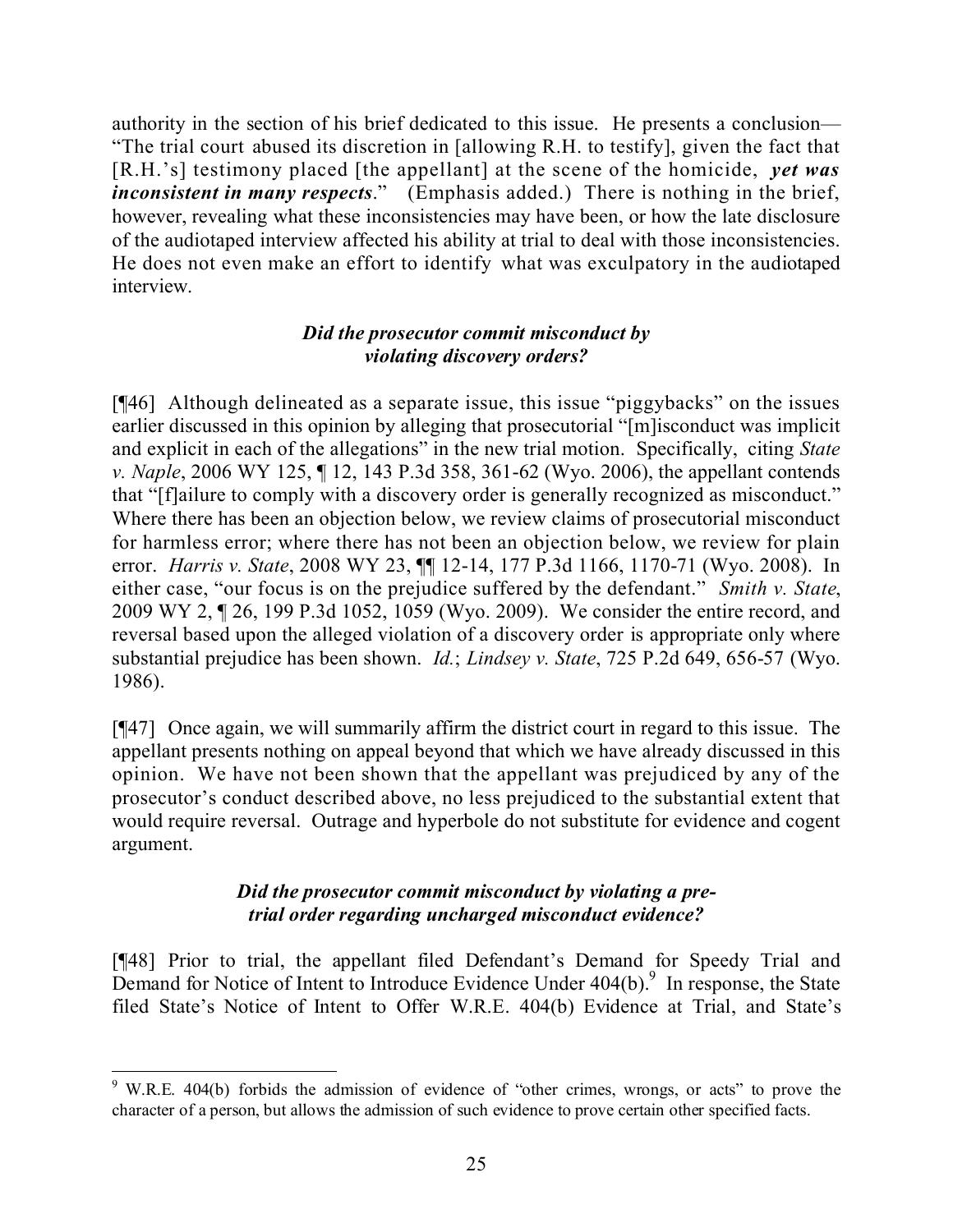authority in the section of his brief dedicated to this issue. He presents a conclusion— "The trial court abused its discretion in [allowing R.H. to testify], given the fact that [R.H.'s] testimony placed [the appellant] at the scene of the homicide, *yet was inconsistent in many respects*." (Emphasis added.) There is nothing in the brief, however, revealing what these inconsistencies may have been, or how the late disclosure of the audiotaped interview affected his ability at trial to deal with those inconsistencies. He does not even make an effort to identify what was exculpatory in the audiotaped interview.

### *Did the prosecutor commit misconduct by violating discovery orders?*

[¶46] Although delineated as a separate issue, this issue "piggybacks" on the issues earlier discussed in this opinion by alleging that prosecutorial "[m]isconduct was implicit and explicit in each of the allegations" in the new trial motion. Specifically, citing *State v. Naple*, 2006 WY 125, ¶ 12, 143 P.3d 358, 361-62 (Wyo. 2006), the appellant contends that "[f]ailure to comply with a discovery order is generally recognized as misconduct." Where there has been an objection below, we review claims of prosecutorial misconduct for harmless error; where there has not been an objection below, we review for plain error. *Harris v. State*, 2008 WY 23, ¶¶ 12-14, 177 P.3d 1166, 1170-71 (Wyo. 2008). In either case, "our focus is on the prejudice suffered by the defendant." *Smith v. State*, 2009 WY 2, ¶ 26, 199 P.3d 1052, 1059 (Wyo. 2009). We consider the entire record, and reversal based upon the alleged violation of a discovery order is appropriate only where substantial prejudice has been shown. *Id.*; *Lindsey v. State*, 725 P.2d 649, 656-57 (Wyo. 1986).

[¶47] Once again, we will summarily affirm the district court in regard to this issue. The appellant presents nothing on appeal beyond that which we have already discussed in this opinion. We have not been shown that the appellant was prejudiced by any of the prosecutor's conduct described above, no less prejudiced to the substantial extent that would require reversal. Outrage and hyperbole do not substitute for evidence and cogent argument.

### *Did the prosecutor commit misconduct by violating a pretrial order regarding uncharged misconduct evidence?*

[¶48] Prior to trial, the appellant filed Defendant's Demand for Speedy Trial and Demand for Notice of Intent to Introduce Evidence Under  $404(b)$ .<sup>9</sup> In response, the State filed State's Notice of Intent to Offer W.R.E. 404(b) Evidence at Trial, and State's

  $9$  W.R.E. 404(b) forbids the admission of evidence of "other crimes, wrongs, or acts" to prove the character of a person, but allows the admission of such evidence to prove certain other specified facts.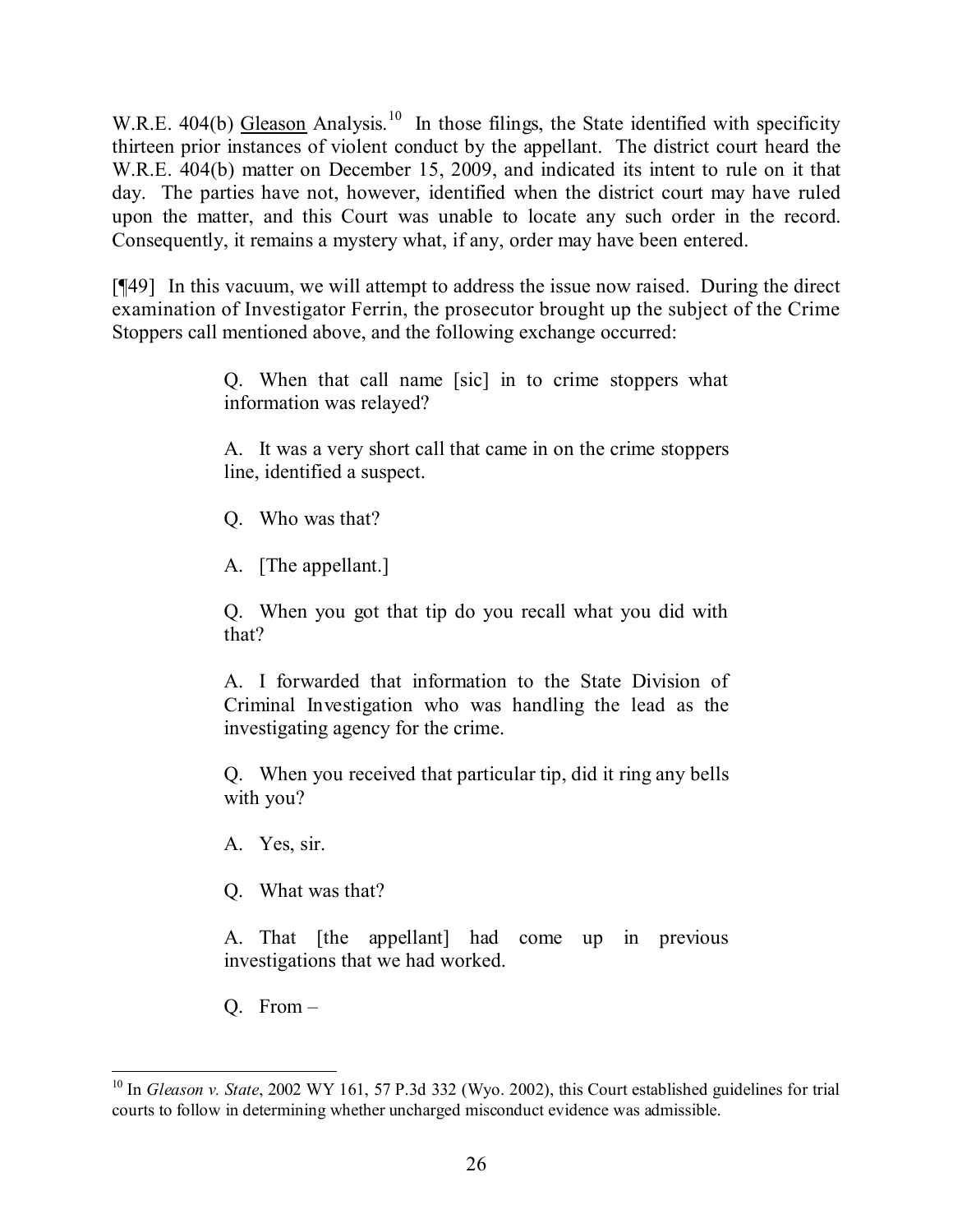W.R.E. 404(b) Gleason Analysis.<sup>10</sup> In those filings, the State identified with specificity thirteen prior instances of violent conduct by the appellant. The district court heard the W.R.E. 404(b) matter on December 15, 2009, and indicated its intent to rule on it that day. The parties have not, however, identified when the district court may have ruled upon the matter, and this Court was unable to locate any such order in the record. Consequently, it remains a mystery what, if any, order may have been entered.

[¶49] In this vacuum, we will attempt to address the issue now raised. During the direct examination of Investigator Ferrin, the prosecutor brought up the subject of the Crime Stoppers call mentioned above, and the following exchange occurred:

> Q. When that call name [sic] in to crime stoppers what information was relayed?

> A. It was a very short call that came in on the crime stoppers line, identified a suspect.

Q. Who was that?

A. [The appellant.]

Q. When you got that tip do you recall what you did with that?

A. I forwarded that information to the State Division of Criminal Investigation who was handling the lead as the investigating agency for the crime.

Q. When you received that particular tip, did it ring any bells with you?

A. Yes, sir.

Q. What was that?

A. That [the appellant] had come up in previous investigations that we had worked.

Q. From –

 <sup>10</sup> In *Gleason v. State*, 2002 WY 161, 57 P.3d 332 (Wyo. 2002), this Court established guidelines for trial courts to follow in determining whether uncharged misconduct evidence was admissible.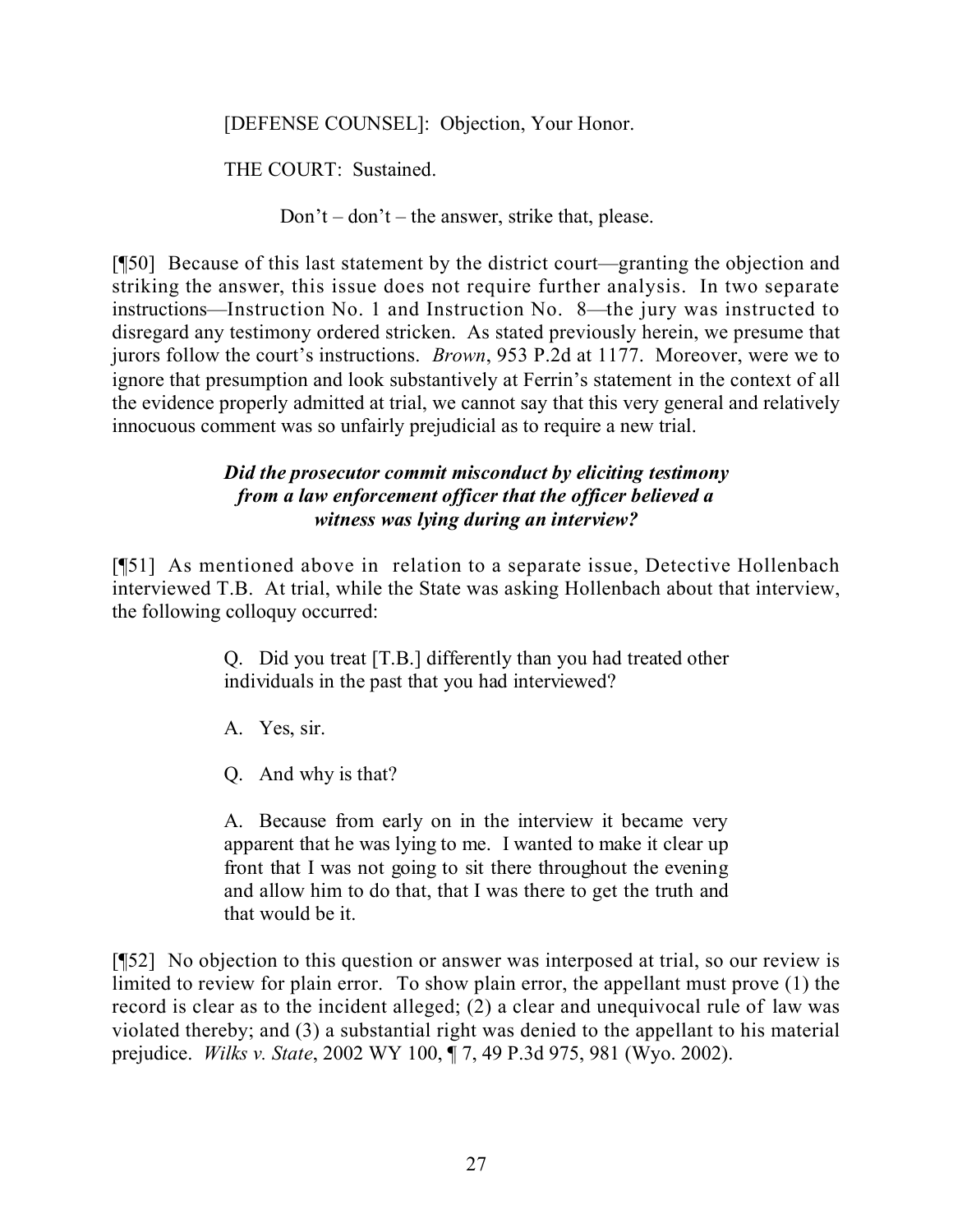[DEFENSE COUNSEL]: Objection, Your Honor.

THE COURT: Sustained.

Don't – don't – the answer, strike that, please.

[¶50] Because of this last statement by the district court—granting the objection and striking the answer, this issue does not require further analysis. In two separate instructions—Instruction No. 1 and Instruction No. 8—the jury was instructed to disregard any testimony ordered stricken. As stated previously herein, we presume that jurors follow the court's instructions. *Brown*, 953 P.2d at 1177. Moreover, were we to ignore that presumption and look substantively at Ferrin's statement in the context of all the evidence properly admitted at trial, we cannot say that this very general and relatively innocuous comment was so unfairly prejudicial as to require a new trial.

### *Did the prosecutor commit misconduct by eliciting testimony from a law enforcement officer that the officer believed a witness was lying during an interview?*

[¶51] As mentioned above in relation to a separate issue, Detective Hollenbach interviewed T.B. At trial, while the State was asking Hollenbach about that interview, the following colloquy occurred:

> Q. Did you treat [T.B.] differently than you had treated other individuals in the past that you had interviewed?

A. Yes, sir.

Q. And why is that?

A. Because from early on in the interview it became very apparent that he was lying to me. I wanted to make it clear up front that I was not going to sit there throughout the evening and allow him to do that, that I was there to get the truth and that would be it.

[¶52] No objection to this question or answer was interposed at trial, so our review is limited to review for plain error. To show plain error, the appellant must prove (1) the record is clear as to the incident alleged; (2) a clear and unequivocal rule of law was violated thereby; and (3) a substantial right was denied to the appellant to his material prejudice. *Wilks v. State*, 2002 WY 100, ¶ 7, 49 P.3d 975, 981 (Wyo. 2002).